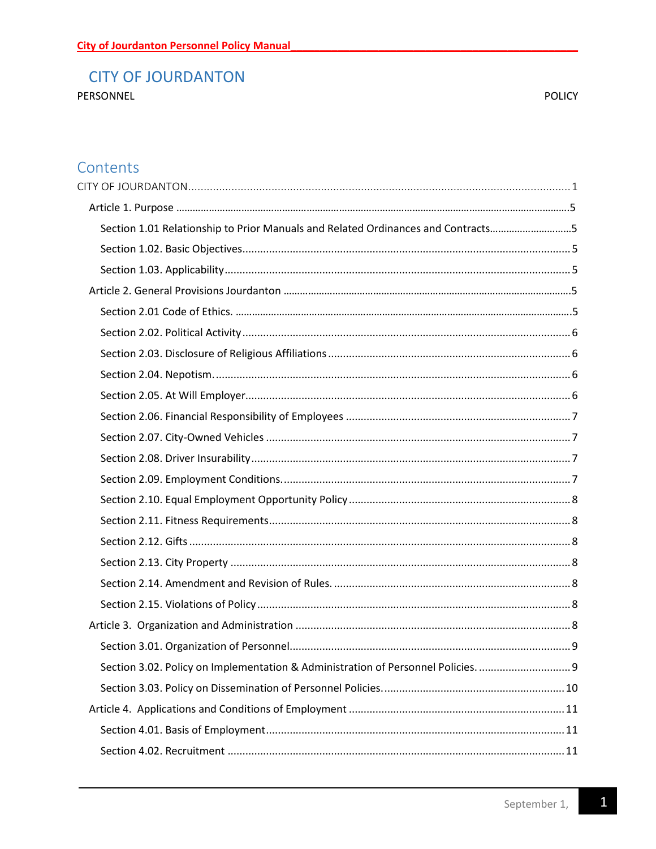## <span id="page-0-0"></span>**CITY OF JOURDANTON**

PERSONNEL

**POLICY** 

## Contents

| Section 1.01 Relationship to Prior Manuals and Related Ordinances and Contracts5 |  |
|----------------------------------------------------------------------------------|--|
|                                                                                  |  |
|                                                                                  |  |
|                                                                                  |  |
|                                                                                  |  |
|                                                                                  |  |
|                                                                                  |  |
|                                                                                  |  |
|                                                                                  |  |
|                                                                                  |  |
|                                                                                  |  |
|                                                                                  |  |
|                                                                                  |  |
|                                                                                  |  |
|                                                                                  |  |
|                                                                                  |  |
|                                                                                  |  |
|                                                                                  |  |
|                                                                                  |  |
|                                                                                  |  |
|                                                                                  |  |
| Section 3.02. Policy on Implementation & Administration of Personnel Policies.   |  |
|                                                                                  |  |
|                                                                                  |  |
|                                                                                  |  |
|                                                                                  |  |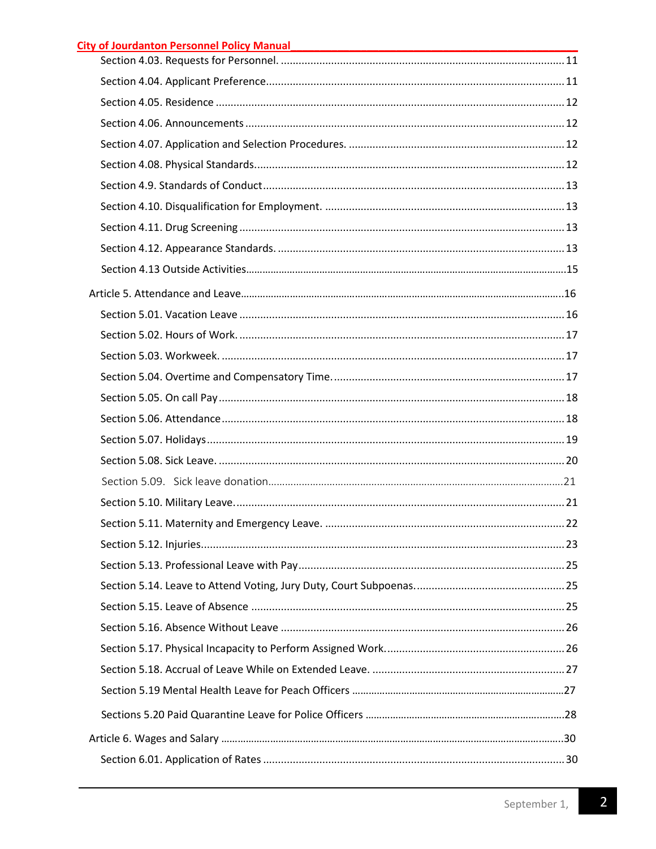| <b>City of Jourdanton Personnel Policy Manual</b> |  |
|---------------------------------------------------|--|
|---------------------------------------------------|--|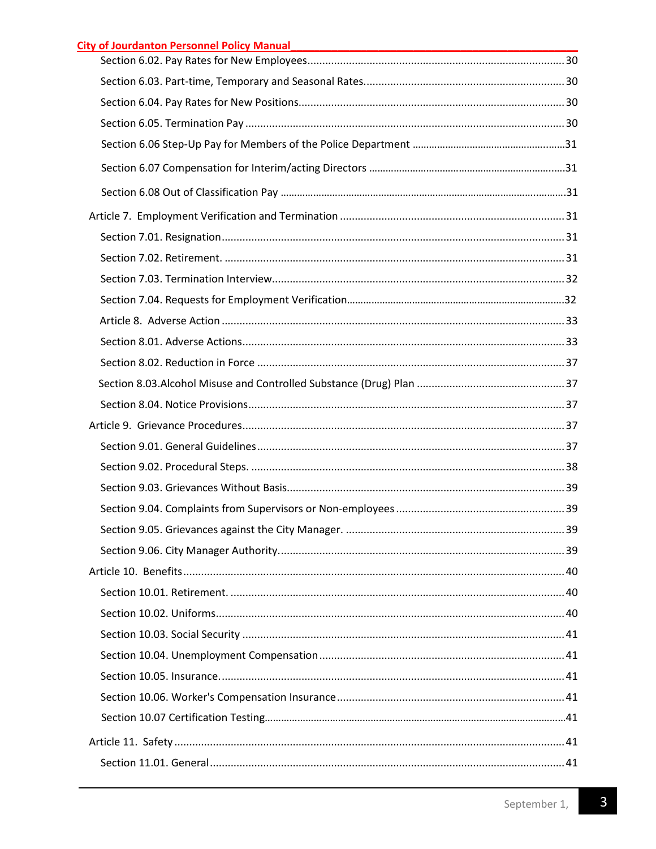| <b>City of Jourdanton Personnel Policy Manual</b><br><u> 2008 - 2008 - 2008 - 2008 - 2008 - 2008 - 2008 - 2008 - 2008 - 2008 - 2008 - 2008 - 2008 - 2008 - 2008 - 200</u> |  |
|---------------------------------------------------------------------------------------------------------------------------------------------------------------------------|--|
|                                                                                                                                                                           |  |
|                                                                                                                                                                           |  |
|                                                                                                                                                                           |  |
|                                                                                                                                                                           |  |
|                                                                                                                                                                           |  |
|                                                                                                                                                                           |  |
|                                                                                                                                                                           |  |
|                                                                                                                                                                           |  |
|                                                                                                                                                                           |  |
|                                                                                                                                                                           |  |
|                                                                                                                                                                           |  |
|                                                                                                                                                                           |  |
|                                                                                                                                                                           |  |
|                                                                                                                                                                           |  |
|                                                                                                                                                                           |  |
|                                                                                                                                                                           |  |
|                                                                                                                                                                           |  |
|                                                                                                                                                                           |  |
|                                                                                                                                                                           |  |
|                                                                                                                                                                           |  |
|                                                                                                                                                                           |  |
|                                                                                                                                                                           |  |
|                                                                                                                                                                           |  |
|                                                                                                                                                                           |  |
|                                                                                                                                                                           |  |
|                                                                                                                                                                           |  |
|                                                                                                                                                                           |  |
|                                                                                                                                                                           |  |
|                                                                                                                                                                           |  |
|                                                                                                                                                                           |  |
|                                                                                                                                                                           |  |
|                                                                                                                                                                           |  |
|                                                                                                                                                                           |  |
|                                                                                                                                                                           |  |
|                                                                                                                                                                           |  |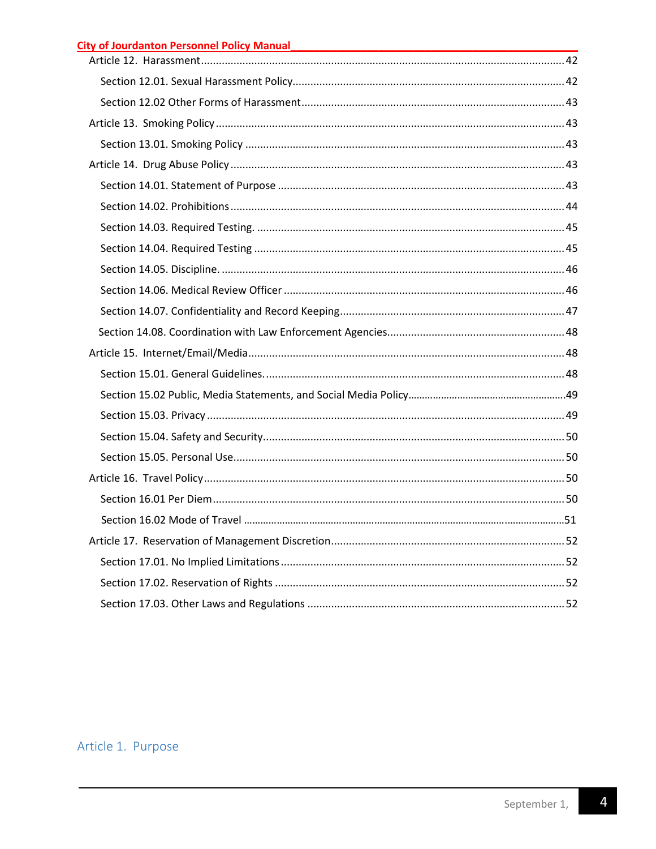| City of Jourdanton Personnel Policy Manual<br>The Manual Processor City of Journal Policy Manual Processor City of America Contractor City of America Contractor |  |
|------------------------------------------------------------------------------------------------------------------------------------------------------------------|--|
|                                                                                                                                                                  |  |
|                                                                                                                                                                  |  |
|                                                                                                                                                                  |  |
|                                                                                                                                                                  |  |
|                                                                                                                                                                  |  |
|                                                                                                                                                                  |  |
|                                                                                                                                                                  |  |
|                                                                                                                                                                  |  |
|                                                                                                                                                                  |  |
|                                                                                                                                                                  |  |
|                                                                                                                                                                  |  |
|                                                                                                                                                                  |  |
|                                                                                                                                                                  |  |
|                                                                                                                                                                  |  |
|                                                                                                                                                                  |  |
|                                                                                                                                                                  |  |
|                                                                                                                                                                  |  |
|                                                                                                                                                                  |  |
|                                                                                                                                                                  |  |
|                                                                                                                                                                  |  |
|                                                                                                                                                                  |  |
|                                                                                                                                                                  |  |
|                                                                                                                                                                  |  |
|                                                                                                                                                                  |  |
|                                                                                                                                                                  |  |
|                                                                                                                                                                  |  |
|                                                                                                                                                                  |  |

# Article 1. Purpose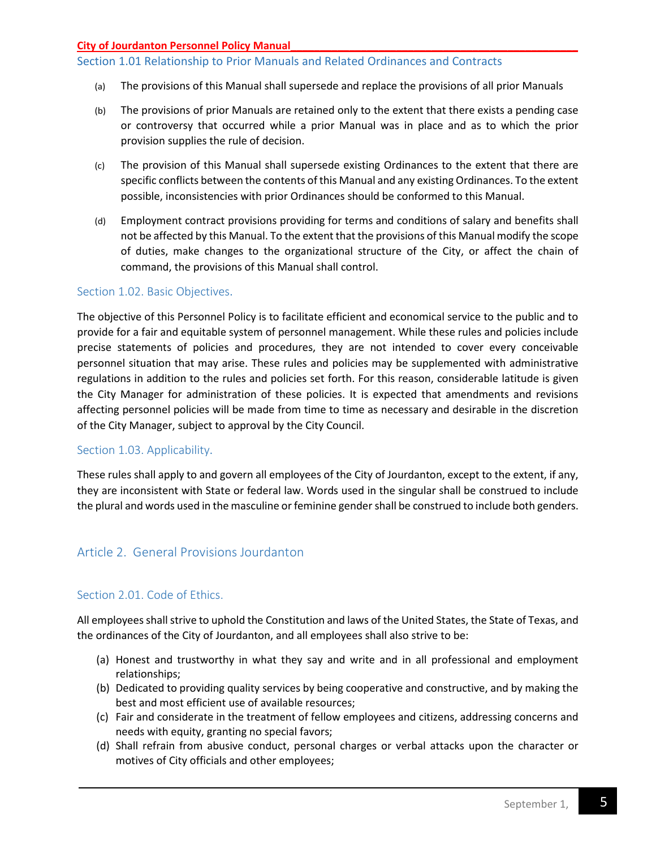## Section 1.01 Relationship to Prior Manuals and Related Ordinances and Contracts

- (a) The provisions of this Manual shall supersede and replace the provisions of all prior Manuals
- (b) The provisions of prior Manuals are retained only to the extent that there exists a pending case or controversy that occurred while a prior Manual was in place and as to which the prior provision supplies the rule of decision.
- (c) The provision of this Manual shall supersede existing Ordinances to the extent that there are specific conflicts between the contents of this Manual and any existing Ordinances. To the extent possible, inconsistencies with prior Ordinances should be conformed to this Manual.
- (d) Employment contract provisions providing for terms and conditions of salary and benefits shall not be affected by this Manual. To the extent that the provisions of this Manual modify the scope of duties, make changes to the organizational structure of the City, or affect the chain of command, the provisions of this Manual shall control.

## <span id="page-4-0"></span>Section 1.02. Basic Objectives.

The objective of this Personnel Policy is to facilitate efficient and economical service to the public and to provide for a fair and equitable system of personnel management. While these rules and policies include precise statements of policies and procedures, they are not intended to cover every conceivable personnel situation that may arise. These rules and policies may be supplemented with administrative regulations in addition to the rules and policies set forth. For this reason, considerable latitude is given the City Manager for administration of these policies. It is expected that amendments and revisions affecting personnel policies will be made from time to time as necessary and desirable in the discretion of the City Manager, subject to approval by the City Council.

#### <span id="page-4-1"></span>Section 1.03. Applicability.

These rules shall apply to and govern all employees of the City of Jourdanton, except to the extent, if any, they are inconsistent with State or federal law. Words used in the singular shall be construed to include the plural and words used in the masculine or feminine gender shall be construed to include both genders.

## Article 2. General Provisions Jourdanton

## Section 2.01. Code of Ethics.

All employees shall strive to uphold the Constitution and laws of the United States, the State of Texas, and the ordinances of the City of Jourdanton, and all employees shall also strive to be:

- (a) Honest and trustworthy in what they say and write and in all professional and employment relationships;
- (b) Dedicated to providing quality services by being cooperative and constructive, and by making the best and most efficient use of available resources;
- (c) Fair and considerate in the treatment of fellow employees and citizens, addressing concerns and needs with equity, granting no special favors;
- (d) Shall refrain from abusive conduct, personal charges or verbal attacks upon the character or motives of City officials and other employees;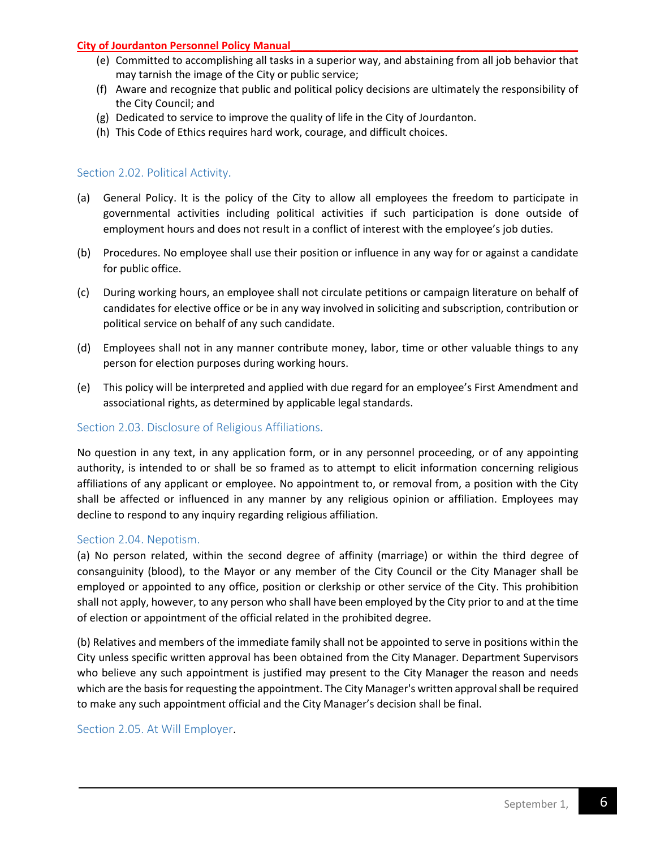- (e) Committed to accomplishing all tasks in a superior way, and abstaining from all job behavior that may tarnish the image of the City or public service;
- (f) Aware and recognize that public and political policy decisions are ultimately the responsibility of the City Council; and
- (g) Dedicated to service to improve the quality of life in the City of Jourdanton.
- <span id="page-5-0"></span>(h) This Code of Ethics requires hard work, courage, and difficult choices.

## Section 2.02. Political Activity.

- (a) General Policy. It is the policy of the City to allow all employees the freedom to participate in governmental activities including political activities if such participation is done outside of employment hours and does not result in a conflict of interest with the employee's job duties.
- (b) Procedures. No employee shall use their position or influence in any way for or against a candidate for public office.
- (c) During working hours, an employee shall not circulate petitions or campaign literature on behalf of candidates for elective office or be in any way involved in soliciting and subscription, contribution or political service on behalf of any such candidate.
- (d) Employees shall not in any manner contribute money, labor, time or other valuable things to any person for election purposes during working hours.
- (e) This policy will be interpreted and applied with due regard for an employee's First Amendment and associational rights, as determined by applicable legal standards.

## <span id="page-5-1"></span>Section 2.03. Disclosure of Religious Affiliations.

No question in any text, in any application form, or in any personnel proceeding, or of any appointing authority, is intended to or shall be so framed as to attempt to elicit information concerning religious affiliations of any applicant or employee. No appointment to, or removal from, a position with the City shall be affected or influenced in any manner by any religious opinion or affiliation. Employees may decline to respond to any inquiry regarding religious affiliation.

#### <span id="page-5-2"></span>Section 2.04. Nepotism.

(a) No person related, within the second degree of affinity (marriage) or within the third degree of consanguinity (blood), to the Mayor or any member of the City Council or the City Manager shall be employed or appointed to any office, position or clerkship or other service of the City. This prohibition shall not apply, however, to any person who shall have been employed by the City prior to and at the time of election or appointment of the official related in the prohibited degree.

(b) Relatives and members of the immediate family shall not be appointed to serve in positions within the City unless specific written approval has been obtained from the City Manager. Department Supervisors who believe any such appointment is justified may present to the City Manager the reason and needs which are the basis for requesting the appointment. The City Manager's written approval shall be required to make any such appointment official and the City Manager's decision shall be final.

<span id="page-5-3"></span>Section 2.05. At Will Employer.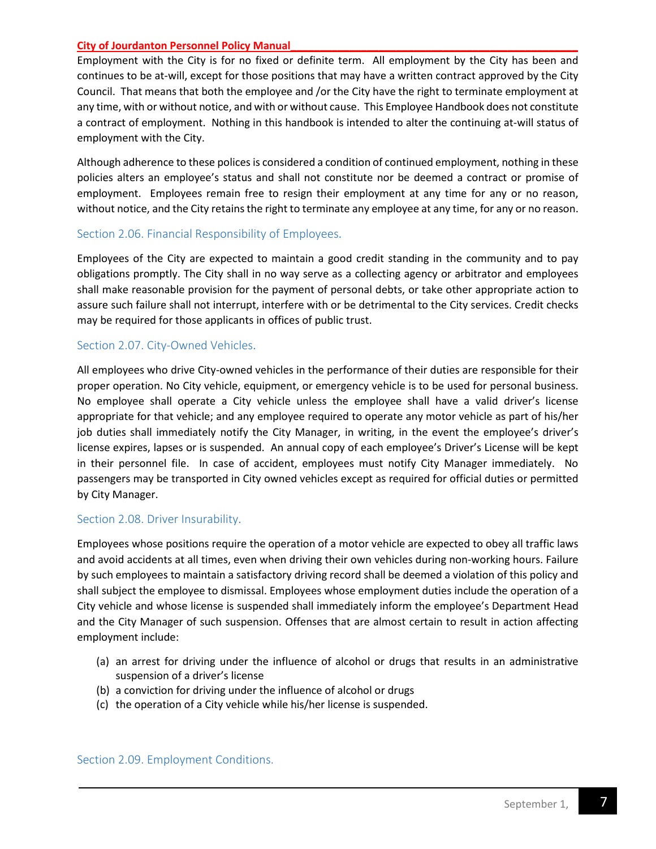Employment with the City is for no fixed or definite term. All employment by the City has been and continues to be at-will, except for those positions that may have a written contract approved by the City Council. That means that both the employee and /or the City have the right to terminate employment at any time, with or without notice, and with or without cause. This Employee Handbook does not constitute a contract of employment. Nothing in this handbook is intended to alter the continuing at-will status of employment with the City.

Although adherence to these polices is considered a condition of continued employment, nothing in these policies alters an employee's status and shall not constitute nor be deemed a contract or promise of employment. Employees remain free to resign their employment at any time for any or no reason, without notice, and the City retains the right to terminate any employee at any time, for any or no reason.

#### <span id="page-6-0"></span>Section 2.06. Financial Responsibility of Employees.

Employees of the City are expected to maintain a good credit standing in the community and to pay obligations promptly. The City shall in no way serve as a collecting agency or arbitrator and employees shall make reasonable provision for the payment of personal debts, or take other appropriate action to assure such failure shall not interrupt, interfere with or be detrimental to the City services. Credit checks may be required for those applicants in offices of public trust.

## <span id="page-6-1"></span>Section 2.07. City-Owned Vehicles.

All employees who drive City-owned vehicles in the performance of their duties are responsible for their proper operation. No City vehicle, equipment, or emergency vehicle is to be used for personal business. No employee shall operate a City vehicle unless the employee shall have a valid driver's license appropriate for that vehicle; and any employee required to operate any motor vehicle as part of his/her job duties shall immediately notify the City Manager, in writing, in the event the employee's driver's license expires, lapses or is suspended. An annual copy of each employee's Driver's License will be kept in their personnel file. In case of accident, employees must notify City Manager immediately. No passengers may be transported in City owned vehicles except as required for official duties or permitted by City Manager.

#### <span id="page-6-2"></span>Section 2.08. Driver Insurability.

Employees whose positions require the operation of a motor vehicle are expected to obey all traffic laws and avoid accidents at all times, even when driving their own vehicles during non-working hours. Failure by such employees to maintain a satisfactory driving record shall be deemed a violation of this policy and shall subject the employee to dismissal. Employees whose employment duties include the operation of a City vehicle and whose license is suspended shall immediately inform the employee's Department Head and the City Manager of such suspension. Offenses that are almost certain to result in action affecting employment include:

- (a) an arrest for driving under the influence of alcohol or drugs that results in an administrative suspension of a driver's license
- (b) a conviction for driving under the influence of alcohol or drugs
- <span id="page-6-3"></span>(c) the operation of a City vehicle while his/her license is suspended.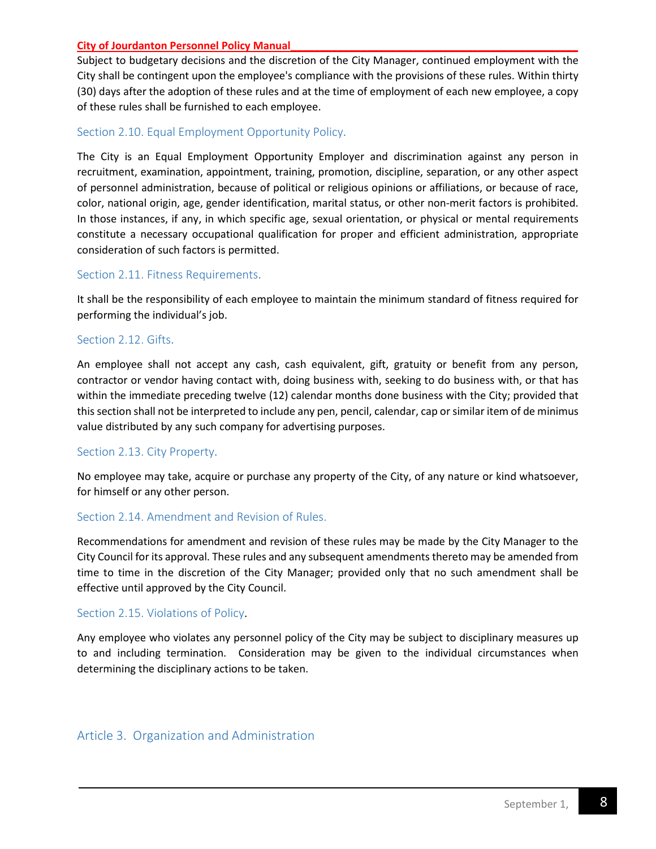Subject to budgetary decisions and the discretion of the City Manager, continued employment with the City shall be contingent upon the employee's compliance with the provisions of these rules. Within thirty (30) days after the adoption of these rules and at the time of employment of each new employee, a copy of these rules shall be furnished to each employee.

## <span id="page-7-0"></span>Section 2.10. Equal Employment Opportunity Policy.

The City is an Equal Employment Opportunity Employer and discrimination against any person in recruitment, examination, appointment, training, promotion, discipline, separation, or any other aspect of personnel administration, because of political or religious opinions or affiliations, or because of race, color, national origin, age, gender identification, marital status, or other non-merit factors is prohibited. In those instances, if any, in which specific age, sexual orientation, or physical or mental requirements constitute a necessary occupational qualification for proper and efficient administration, appropriate consideration of such factors is permitted.

## <span id="page-7-1"></span>Section 2.11. Fitness Requirements.

It shall be the responsibility of each employee to maintain the minimum standard of fitness required for performing the individual's job.

## <span id="page-7-2"></span>Section 2.12. Gifts.

An employee shall not accept any cash, cash equivalent, gift, gratuity or benefit from any person, contractor or vendor having contact with, doing business with, seeking to do business with, or that has within the immediate preceding twelve (12) calendar months done business with the City; provided that this section shall not be interpreted to include any pen, pencil, calendar, cap or similar item of de minimus value distributed by any such company for advertising purposes.

## <span id="page-7-3"></span>Section 2.13. City Property.

No employee may take, acquire or purchase any property of the City, of any nature or kind whatsoever, for himself or any other person.

## <span id="page-7-4"></span>Section 2.14. Amendment and Revision of Rules.

Recommendations for amendment and revision of these rules may be made by the City Manager to the City Council for its approval. These rules and any subsequent amendments thereto may be amended from time to time in the discretion of the City Manager; provided only that no such amendment shall be effective until approved by the City Council.

## <span id="page-7-5"></span>Section 2.15. Violations of Policy.

Any employee who violates any personnel policy of the City may be subject to disciplinary measures up to and including termination. Consideration may be given to the individual circumstances when determining the disciplinary actions to be taken.

## <span id="page-7-6"></span>Article 3. Organization and Administration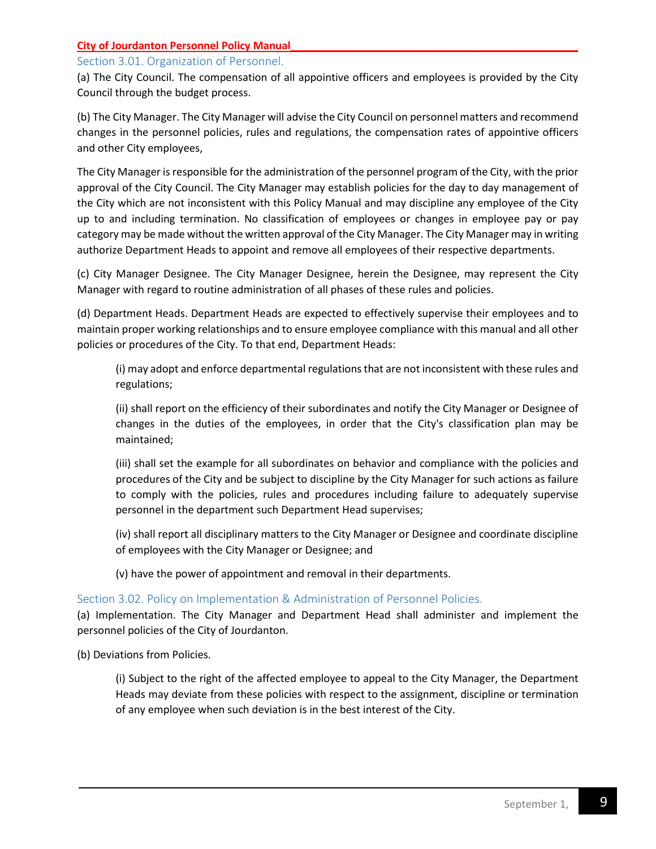## <span id="page-8-0"></span>Section 3.01. Organization of Personnel.

(a) The City Council. The compensation of all appointive officers and employees is provided by the City Council through the budget process.

(b) The City Manager. The City Manager will advise the City Council on personnel matters and recommend changes in the personnel policies, rules and regulations, the compensation rates of appointive officers and other City employees,

The City Manager is responsible for the administration of the personnel program of the City, with the prior approval of the City Council. The City Manager may establish policies for the day to day management of the City which are not inconsistent with this Policy Manual and may discipline any employee of the City up to and including termination. No classification of employees or changes in employee pay or pay category may be made without the written approval of the City Manager. The City Manager may in writing authorize Department Heads to appoint and remove all employees of their respective departments.

(c) City Manager Designee. The City Manager Designee, herein the Designee, may represent the City Manager with regard to routine administration of all phases of these rules and policies.

(d) Department Heads. Department Heads are expected to effectively supervise their employees and to maintain proper working relationships and to ensure employee compliance with this manual and all other policies or procedures of the City. To that end, Department Heads:

(i) may adopt and enforce departmental regulations that are not inconsistent with these rules and regulations;

(ii) shall report on the efficiency of their subordinates and notify the City Manager or Designee of changes in the duties of the employees, in order that the City's classification plan may be maintained;

(iii) shall set the example for all subordinates on behavior and compliance with the policies and procedures of the City and be subject to discipline by the City Manager for such actions as failure to comply with the policies, rules and procedures including failure to adequately supervise personnel in the department such Department Head supervises;

(iv) shall report all disciplinary matters to the City Manager or Designee and coordinate discipline of employees with the City Manager or Designee; and

(v) have the power of appointment and removal in their departments.

## <span id="page-8-1"></span>Section 3.02. Policy on Implementation & Administration of Personnel Policies.

(a) Implementation. The City Manager and Department Head shall administer and implement the personnel policies of the City of Jourdanton.

(b) Deviations from Policies.

(i) Subject to the right of the affected employee to appeal to the City Manager, the Department Heads may deviate from these policies with respect to the assignment, discipline or termination of any employee when such deviation is in the best interest of the City.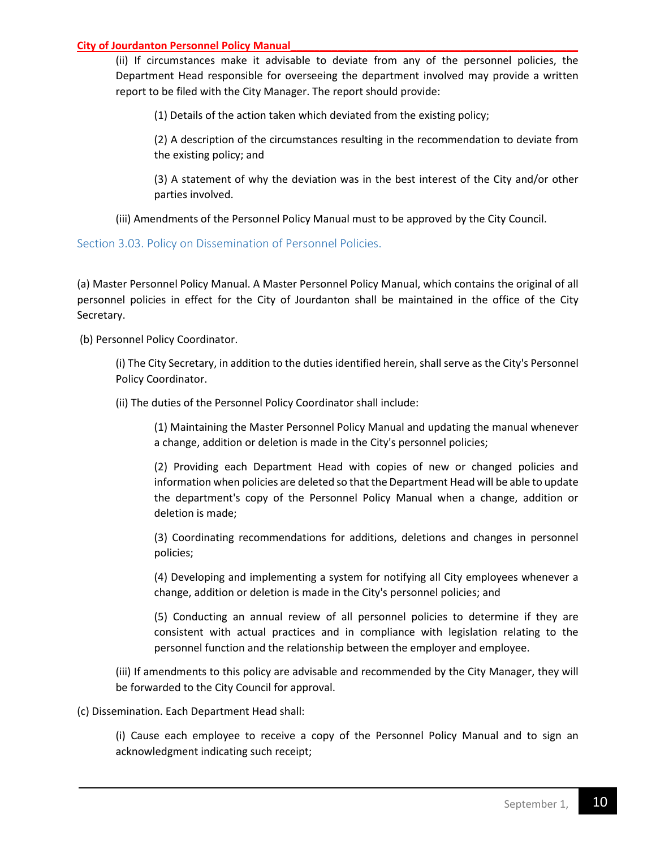(ii) If circumstances make it advisable to deviate from any of the personnel policies, the Department Head responsible for overseeing the department involved may provide a written report to be filed with the City Manager. The report should provide:

(1) Details of the action taken which deviated from the existing policy;

(2) A description of the circumstances resulting in the recommendation to deviate from the existing policy; and

(3) A statement of why the deviation was in the best interest of the City and/or other parties involved.

(iii) Amendments of the Personnel Policy Manual must to be approved by the City Council.

## <span id="page-9-0"></span>Section 3.03. Policy on Dissemination of Personnel Policies.

(a) Master Personnel Policy Manual. A Master Personnel Policy Manual, which contains the original of all personnel policies in effect for the City of Jourdanton shall be maintained in the office of the City Secretary.

(b) Personnel Policy Coordinator.

(i) The City Secretary, in addition to the duties identified herein, shall serve as the City's Personnel Policy Coordinator.

(ii) The duties of the Personnel Policy Coordinator shall include:

(1) Maintaining the Master Personnel Policy Manual and updating the manual whenever a change, addition or deletion is made in the City's personnel policies;

(2) Providing each Department Head with copies of new or changed policies and information when policies are deleted so that the Department Head will be able to update the department's copy of the Personnel Policy Manual when a change, addition or deletion is made;

(3) Coordinating recommendations for additions, deletions and changes in personnel policies;

(4) Developing and implementing a system for notifying all City employees whenever a change, addition or deletion is made in the City's personnel policies; and

(5) Conducting an annual review of all personnel policies to determine if they are consistent with actual practices and in compliance with legislation relating to the personnel function and the relationship between the employer and employee.

(iii) If amendments to this policy are advisable and recommended by the City Manager, they will be forwarded to the City Council for approval.

(c) Dissemination. Each Department Head shall:

(i) Cause each employee to receive a copy of the Personnel Policy Manual and to sign an acknowledgment indicating such receipt;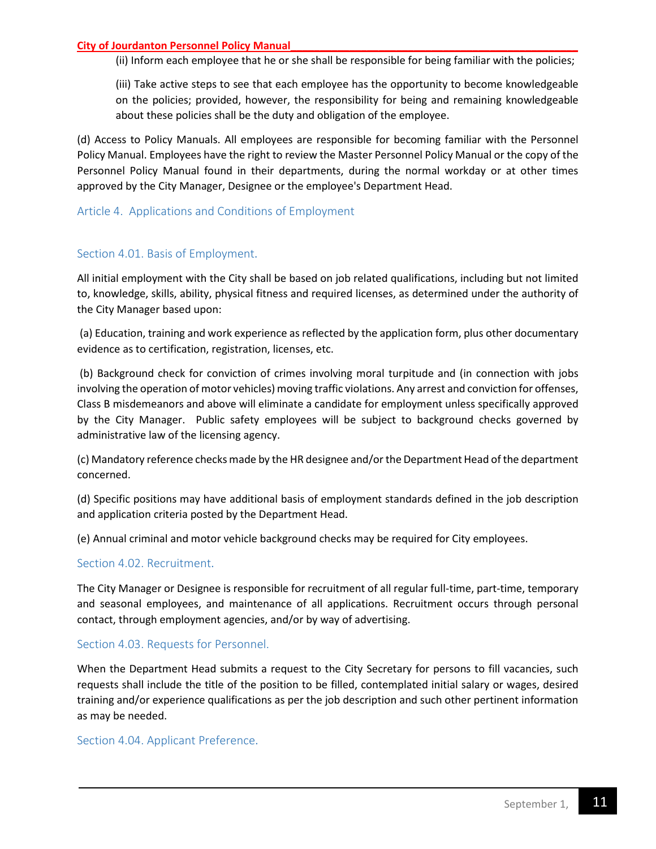(ii) Inform each employee that he or she shall be responsible for being familiar with the policies;

(iii) Take active steps to see that each employee has the opportunity to become knowledgeable on the policies; provided, however, the responsibility for being and remaining knowledgeable about these policies shall be the duty and obligation of the employee.

(d) Access to Policy Manuals. All employees are responsible for becoming familiar with the Personnel Policy Manual. Employees have the right to review the Master Personnel Policy Manual or the copy of the Personnel Policy Manual found in their departments, during the normal workday or at other times approved by the City Manager, Designee or the employee's Department Head.

## <span id="page-10-0"></span>Article 4. Applications and Conditions of Employment

## <span id="page-10-1"></span>Section 4.01. Basis of Employment.

All initial employment with the City shall be based on job related qualifications, including but not limited to, knowledge, skills, ability, physical fitness and required licenses, as determined under the authority of the City Manager based upon:

(a) Education, training and work experience as reflected by the application form, plus other documentary evidence as to certification, registration, licenses, etc.

(b) Background check for conviction of crimes involving moral turpitude and (in connection with jobs involving the operation of motor vehicles) moving traffic violations. Any arrest and conviction for offenses, Class B misdemeanors and above will eliminate a candidate for employment unless specifically approved by the City Manager. Public safety employees will be subject to background checks governed by administrative law of the licensing agency.

(c) Mandatory reference checks made by the HR designee and/or the Department Head of the department concerned.

(d) Specific positions may have additional basis of employment standards defined in the job description and application criteria posted by the Department Head.

(e) Annual criminal and motor vehicle background checks may be required for City employees.

## <span id="page-10-2"></span>Section 4.02. Recruitment.

The City Manager or Designee is responsible for recruitment of all regular full-time, part-time, temporary and seasonal employees, and maintenance of all applications. Recruitment occurs through personal contact, through employment agencies, and/or by way of advertising.

#### <span id="page-10-3"></span>Section 4.03. Requests for Personnel.

When the Department Head submits a request to the City Secretary for persons to fill vacancies, such requests shall include the title of the position to be filled, contemplated initial salary or wages, desired training and/or experience qualifications as per the job description and such other pertinent information as may be needed.

## <span id="page-10-4"></span>Section 4.04. Applicant Preference.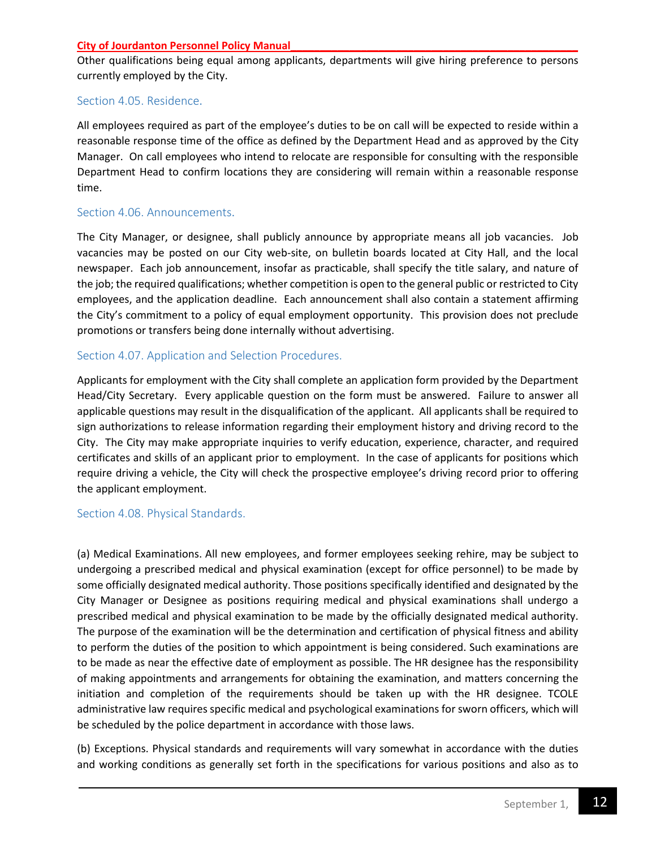Other qualifications being equal among applicants, departments will give hiring preference to persons currently employed by the City.

## <span id="page-11-0"></span>Section 4.05. Residence.

All employees required as part of the employee's duties to be on call will be expected to reside within a reasonable response time of the office as defined by the Department Head and as approved by the City Manager. On call employees who intend to relocate are responsible for consulting with the responsible Department Head to confirm locations they are considering will remain within a reasonable response time.

## <span id="page-11-1"></span>Section 4.06. Announcements.

The City Manager, or designee, shall publicly announce by appropriate means all job vacancies. Job vacancies may be posted on our City web-site, on bulletin boards located at City Hall, and the local newspaper. Each job announcement, insofar as practicable, shall specify the title salary, and nature of the job; the required qualifications; whether competition is open to the general public or restricted to City employees, and the application deadline. Each announcement shall also contain a statement affirming the City's commitment to a policy of equal employment opportunity. This provision does not preclude promotions or transfers being done internally without advertising.

## <span id="page-11-2"></span>Section 4.07. Application and Selection Procedures.

Applicants for employment with the City shall complete an application form provided by the Department Head/City Secretary. Every applicable question on the form must be answered. Failure to answer all applicable questions may result in the disqualification of the applicant. All applicants shall be required to sign authorizations to release information regarding their employment history and driving record to the City. The City may make appropriate inquiries to verify education, experience, character, and required certificates and skills of an applicant prior to employment. In the case of applicants for positions which require driving a vehicle, the City will check the prospective employee's driving record prior to offering the applicant employment.

#### <span id="page-11-3"></span>Section 4.08. Physical Standards.

(a) Medical Examinations. All new employees, and former employees seeking rehire, may be subject to undergoing a prescribed medical and physical examination (except for office personnel) to be made by some officially designated medical authority. Those positions specifically identified and designated by the City Manager or Designee as positions requiring medical and physical examinations shall undergo a prescribed medical and physical examination to be made by the officially designated medical authority. The purpose of the examination will be the determination and certification of physical fitness and ability to perform the duties of the position to which appointment is being considered. Such examinations are to be made as near the effective date of employment as possible. The HR designee has the responsibility of making appointments and arrangements for obtaining the examination, and matters concerning the initiation and completion of the requirements should be taken up with the HR designee. TCOLE administrative law requires specific medical and psychological examinations for sworn officers, which will be scheduled by the police department in accordance with those laws.

(b) Exceptions. Physical standards and requirements will vary somewhat in accordance with the duties and working conditions as generally set forth in the specifications for various positions and also as to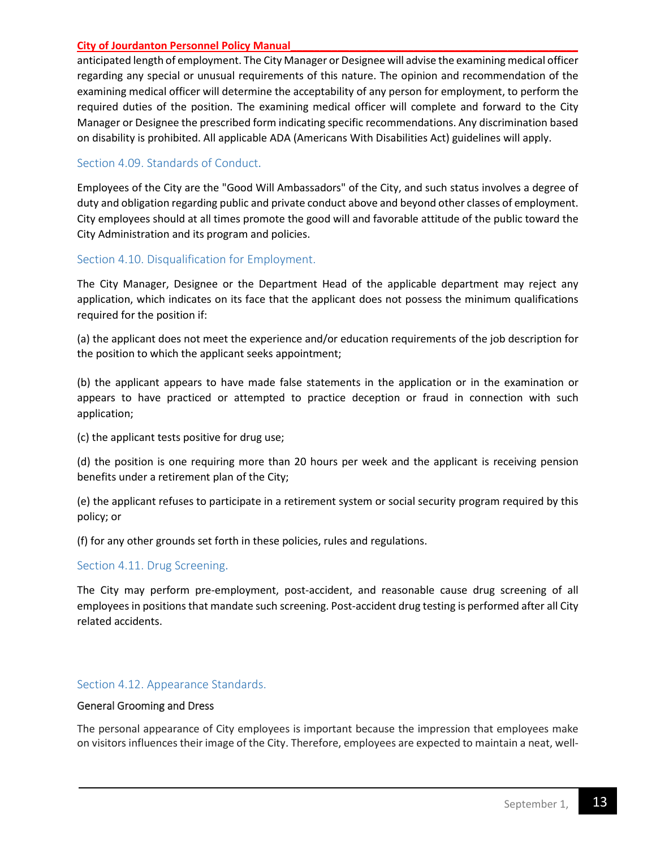anticipated length of employment. The City Manager or Designee will advise the examining medical officer regarding any special or unusual requirements of this nature. The opinion and recommendation of the examining medical officer will determine the acceptability of any person for employment, to perform the required duties of the position. The examining medical officer will complete and forward to the City Manager or Designee the prescribed form indicating specific recommendations. Any discrimination based on disability is prohibited. All applicable ADA (Americans With Disabilities Act) guidelines will apply.

#### <span id="page-12-0"></span>Section 4.09. Standards of Conduct.

Employees of the City are the "Good Will Ambassadors" of the City, and such status involves a degree of duty and obligation regarding public and private conduct above and beyond other classes of employment. City employees should at all times promote the good will and favorable attitude of the public toward the City Administration and its program and policies.

## <span id="page-12-1"></span>Section 4.10. Disqualification for Employment.

The City Manager, Designee or the Department Head of the applicable department may reject any application, which indicates on its face that the applicant does not possess the minimum qualifications required for the position if:

(a) the applicant does not meet the experience and/or education requirements of the job description for the position to which the applicant seeks appointment;

(b) the applicant appears to have made false statements in the application or in the examination or appears to have practiced or attempted to practice deception or fraud in connection with such application;

(c) the applicant tests positive for drug use;

(d) the position is one requiring more than 20 hours per week and the applicant is receiving pension benefits under a retirement plan of the City;

(e) the applicant refuses to participate in a retirement system or social security program required by this policy; or

(f) for any other grounds set forth in these policies, rules and regulations.

#### <span id="page-12-2"></span>Section 4.11. Drug Screening.

The City may perform pre-employment, post-accident, and reasonable cause drug screening of all employees in positions that mandate such screening. Post-accident drug testing is performed after all City related accidents.

#### <span id="page-12-3"></span>Section 4.12. Appearance Standards.

#### General Grooming and Dress

The personal appearance of City employees is important because the impression that employees make on visitors influences their image of the City. Therefore, employees are expected to maintain a neat, well-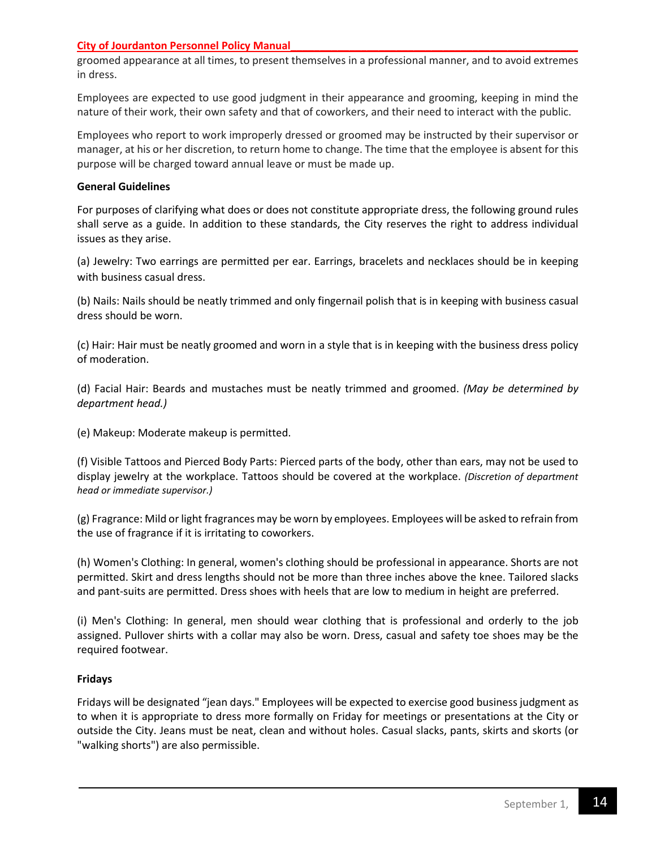groomed appearance at all times, to present themselves in a professional manner, and to avoid extremes in dress.

Employees are expected to use good judgment in their appearance and grooming, keeping in mind the nature of their work, their own safety and that of coworkers, and their need to interact with the public.

Employees who report to work improperly dressed or groomed may be instructed by their supervisor or manager, at his or her discretion, to return home to change. The time that the employee is absent for this purpose will be charged toward annual leave or must be made up.

#### **General Guidelines**

For purposes of clarifying what does or does not constitute appropriate dress, the following ground rules shall serve as a guide. In addition to these standards, the City reserves the right to address individual issues as they arise.

(a) Jewelry: Two earrings are permitted per ear. Earrings, bracelets and necklaces should be in keeping with business casual dress.

(b) Nails: Nails should be neatly trimmed and only fingernail polish that is in keeping with business casual dress should be worn.

(c) Hair: Hair must be neatly groomed and worn in a style that is in keeping with the business dress policy of moderation.

(d) Facial Hair: Beards and mustaches must be neatly trimmed and groomed. *(May be determined by department head.)*

(e) Makeup: Moderate makeup is permitted.

(f) Visible Tattoos and Pierced Body Parts: Pierced parts of the body, other than ears, may not be used to display jewelry at the workplace. Tattoos should be covered at the workplace. *(Discretion of department head or immediate supervisor.)*

(g) Fragrance: Mild or light fragrances may be worn by employees. Employees will be asked to refrain from the use of fragrance if it is irritating to coworkers.

(h) Women's Clothing: In general, women's clothing should be professional in appearance. Shorts are not permitted. Skirt and dress lengths should not be more than three inches above the knee. Tailored slacks and pant-suits are permitted. Dress shoes with heels that are low to medium in height are preferred.

(i) Men's Clothing: In general, men should wear clothing that is professional and orderly to the job assigned. Pullover shirts with a collar may also be worn. Dress, casual and safety toe shoes may be the required footwear.

#### **Fridays**

Fridays will be designated "jean days." Employees will be expected to exercise good business judgment as to when it is appropriate to dress more formally on Friday for meetings or presentations at the City or outside the City. Jeans must be neat, clean and without holes. Casual slacks, pants, skirts and skorts (or "walking shorts") are also permissible.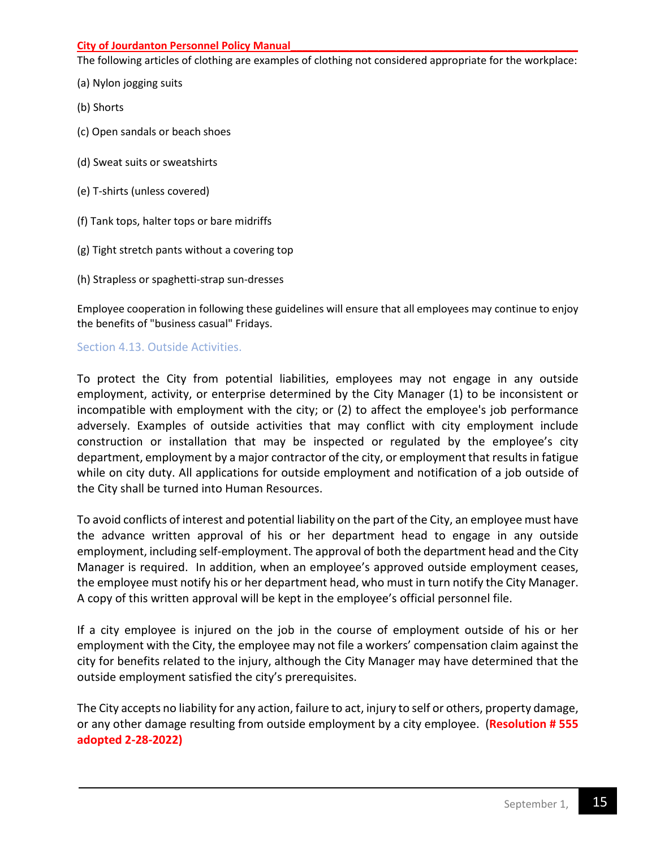The following articles of clothing are examples of clothing not considered appropriate for the workplace:

- (a) Nylon jogging suits
- (b) Shorts
- (c) Open sandals or beach shoes
- (d) Sweat suits or sweatshirts
- (e) T-shirts (unless covered)
- (f) Tank tops, halter tops or bare midriffs
- (g) Tight stretch pants without a covering top
- (h) Strapless or spaghetti-strap sun-dresses

Employee cooperation in following these guidelines will ensure that all employees may continue to enjoy the benefits of "business casual" Fridays.

## Section 4.13. Outside Activities.

To protect the City from potential liabilities, employees may not engage in any outside employment, activity, or enterprise determined by the City Manager (1) to be inconsistent or incompatible with employment with the city; or (2) to affect the employee's job performance adversely. Examples of outside activities that may conflict with city employment include construction or installation that may be inspected or regulated by the employee's city department, employment by a major contractor of the city, or employment that results in fatigue while on city duty. All applications for outside employment and notification of a job outside of the City shall be turned into Human Resources.

To avoid conflicts of interest and potential liability on the part of the City, an employee must have the advance written approval of his or her department head to engage in any outside employment, including self-employment. The approval of both the department head and the City Manager is required. In addition, when an employee's approved outside employment ceases, the employee must notify his or her department head, who must in turn notify the City Manager. A copy of this written approval will be kept in the employee's official personnel file.

If a city employee is injured on the job in the course of employment outside of his or her employment with the City, the employee may not file a workers' compensation claim against the city for benefits related to the injury, although the City Manager may have determined that the outside employment satisfied the city's prerequisites.

The City accepts no liability for any action, failure to act, injury to self or others, property damage, or any other damage resulting from outside employment by a city employee. (**Resolution # 555 adopted 2-28-2022)**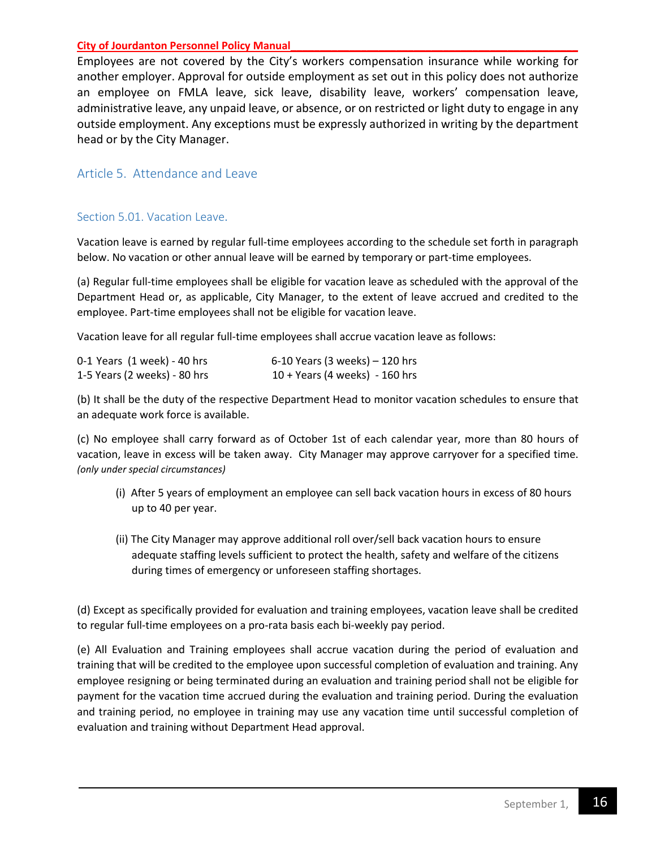Employees are not covered by the City's workers compensation insurance while working for another employer. Approval for outside employment as set out in this policy does not authorize an employee on FMLA leave, sick leave, disability leave, workers' compensation leave, administrative leave, any unpaid leave, or absence, or on restricted or light duty to engage in any outside employment. Any exceptions must be expressly authorized in writing by the department head or by the City Manager.

## <span id="page-15-0"></span>Article 5. Attendance and Leave

## Section 5.01. Vacation Leave.

Vacation leave is earned by regular full-time employees according to the schedule set forth in paragraph below. No vacation or other annual leave will be earned by temporary or part-time employees.

(a) Regular full-time employees shall be eligible for vacation leave as scheduled with the approval of the Department Head or, as applicable, City Manager, to the extent of leave accrued and credited to the employee. Part-time employees shall not be eligible for vacation leave.

Vacation leave for all regular full-time employees shall accrue vacation leave as follows:

| 0-1 Years (1 week) - 40 hrs  | $6-10$ Years (3 weeks) $-120$ hrs       |
|------------------------------|-----------------------------------------|
| 1-5 Years (2 weeks) - 80 hrs | $10 + \text{Years}$ (4 weeks) - 160 hrs |

(b) It shall be the duty of the respective Department Head to monitor vacation schedules to ensure that an adequate work force is available.

(c) No employee shall carry forward as of October 1st of each calendar year, more than 80 hours of vacation, leave in excess will be taken away. City Manager may approve carryover for a specified time. *(only under special circumstances)*

- (i) After 5 years of employment an employee can sell back vacation hours in excess of 80 hours up to 40 per year.
- (ii) The City Manager may approve additional roll over/sell back vacation hours to ensure adequate staffing levels sufficient to protect the health, safety and welfare of the citizens during times of emergency or unforeseen staffing shortages.

(d) Except as specifically provided for evaluation and training employees, vacation leave shall be credited to regular full-time employees on a pro-rata basis each bi-weekly pay period.

(e) All Evaluation and Training employees shall accrue vacation during the period of evaluation and training that will be credited to the employee upon successful completion of evaluation and training. Any employee resigning or being terminated during an evaluation and training period shall not be eligible for payment for the vacation time accrued during the evaluation and training period. During the evaluation and training period, no employee in training may use any vacation time until successful completion of evaluation and training without Department Head approval.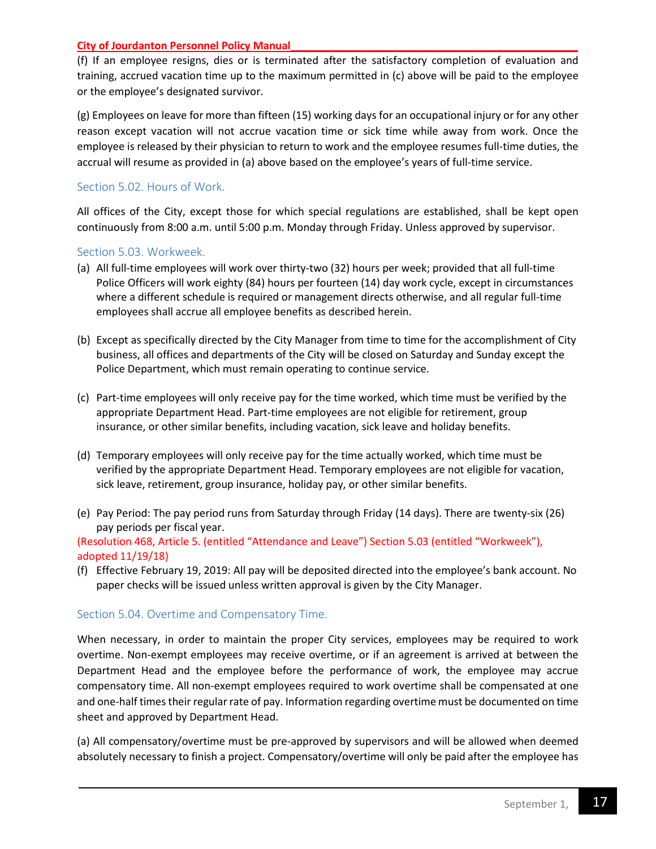(f) If an employee resigns, dies or is terminated after the satisfactory completion of evaluation and training, accrued vacation time up to the maximum permitted in (c) above will be paid to the employee or the employee's designated survivor.

(g) Employees on leave for more than fifteen (15) working days for an occupational injury or for any other reason except vacation will not accrue vacation time or sick time while away from work. Once the employee is released by their physician to return to work and the employee resumes full-time duties, the accrual will resume as provided in (a) above based on the employee's years of full-time service.

## <span id="page-16-0"></span>Section 5.02. Hours of Work.

All offices of the City, except those for which special regulations are established, shall be kept open continuously from 8:00 a.m. until 5:00 p.m. Monday through Friday. Unless approved by supervisor.

#### <span id="page-16-1"></span>Section 5.03. Workweek.

- (a) All full-time employees will work over thirty-two (32) hours per week; provided that all full-time Police Officers will work eighty (84) hours per fourteen (14) day work cycle, except in circumstances where a different schedule is required or management directs otherwise, and all regular full-time employees shall accrue all employee benefits as described herein.
- (b) Except as specifically directed by the City Manager from time to time for the accomplishment of City business, all offices and departments of the City will be closed on Saturday and Sunday except the Police Department, which must remain operating to continue service.
- (c) Part-time employees will only receive pay for the time worked, which time must be verified by the appropriate Department Head. Part-time employees are not eligible for retirement, group insurance, or other similar benefits, including vacation, sick leave and holiday benefits.
- (d) Temporary employees will only receive pay for the time actually worked, which time must be verified by the appropriate Department Head. Temporary employees are not eligible for vacation, sick leave, retirement, group insurance, holiday pay, or other similar benefits.
- (e) Pay Period: The pay period runs from Saturday through Friday (14 days). There are twenty-six (26) pay periods per fiscal year.

(Resolution 468, Article 5. (entitled "Attendance and Leave") Section 5.03 (entitled "Workweek"), adopted 11/19/18)

(f) Effective February 19, 2019: All pay will be deposited directed into the employee's bank account. No paper checks will be issued unless written approval is given by the City Manager.

#### <span id="page-16-2"></span>Section 5.04. Overtime and Compensatory Time.

When necessary, in order to maintain the proper City services, employees may be required to work overtime. Non-exempt employees may receive overtime, or if an agreement is arrived at between the Department Head and the employee before the performance of work, the employee may accrue compensatory time. All non-exempt employees required to work overtime shall be compensated at one and one-half times their regular rate of pay. Information regarding overtime must be documented on time sheet and approved by Department Head.

(a) All compensatory/overtime must be pre-approved by supervisors and will be allowed when deemed absolutely necessary to finish a project. Compensatory/overtime will only be paid after the employee has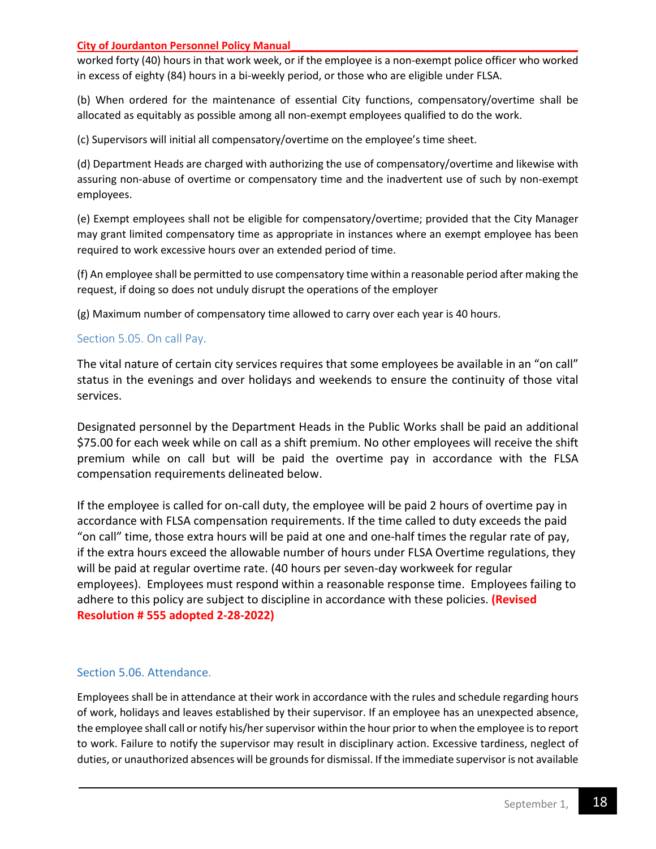worked forty (40) hours in that work week, or if the employee is a non-exempt police officer who worked in excess of eighty (84) hours in a bi-weekly period, or those who are eligible under FLSA.

(b) When ordered for the maintenance of essential City functions, compensatory/overtime shall be allocated as equitably as possible among all non-exempt employees qualified to do the work.

(c) Supervisors will initial all compensatory/overtime on the employee's time sheet.

(d) Department Heads are charged with authorizing the use of compensatory/overtime and likewise with assuring non-abuse of overtime or compensatory time and the inadvertent use of such by non-exempt employees.

(e) Exempt employees shall not be eligible for compensatory/overtime; provided that the City Manager may grant limited compensatory time as appropriate in instances where an exempt employee has been required to work excessive hours over an extended period of time.

(f) An employee shall be permitted to use compensatory time within a reasonable period after making the request, if doing so does not unduly disrupt the operations of the employer

(g) Maximum number of compensatory time allowed to carry over each year is 40 hours.

## <span id="page-17-0"></span>Section 5.05. On call Pay.

The vital nature of certain city services requires that some employees be available in an "on call" status in the evenings and over holidays and weekends to ensure the continuity of those vital services.

Designated personnel by the Department Heads in the Public Works shall be paid an additional \$75.00 for each week while on call as a shift premium. No other employees will receive the shift premium while on call but will be paid the overtime pay in accordance with the FLSA compensation requirements delineated below.

If the employee is called for on-call duty, the employee will be paid 2 hours of overtime pay in accordance with FLSA compensation requirements. If the time called to duty exceeds the paid "on call" time, those extra hours will be paid at one and one-half times the regular rate of pay, if the extra hours exceed the allowable number of hours under FLSA Overtime regulations, they will be paid at regular overtime rate. (40 hours per seven-day workweek for regular employees). Employees must respond within a reasonable response time. Employees failing to adhere to this policy are subject to discipline in accordance with these policies. **(Revised Resolution # 555 adopted 2-28-2022)**

## <span id="page-17-1"></span>Section 5.06. Attendance.

Employees shall be in attendance at their work in accordance with the rules and schedule regarding hours of work, holidays and leaves established by their supervisor. If an employee has an unexpected absence, the employee shall call or notify his/her supervisor within the hour prior to when the employee is to report to work. Failure to notify the supervisor may result in disciplinary action. Excessive tardiness, neglect of duties, or unauthorized absences will be grounds for dismissal. If the immediate supervisor is not available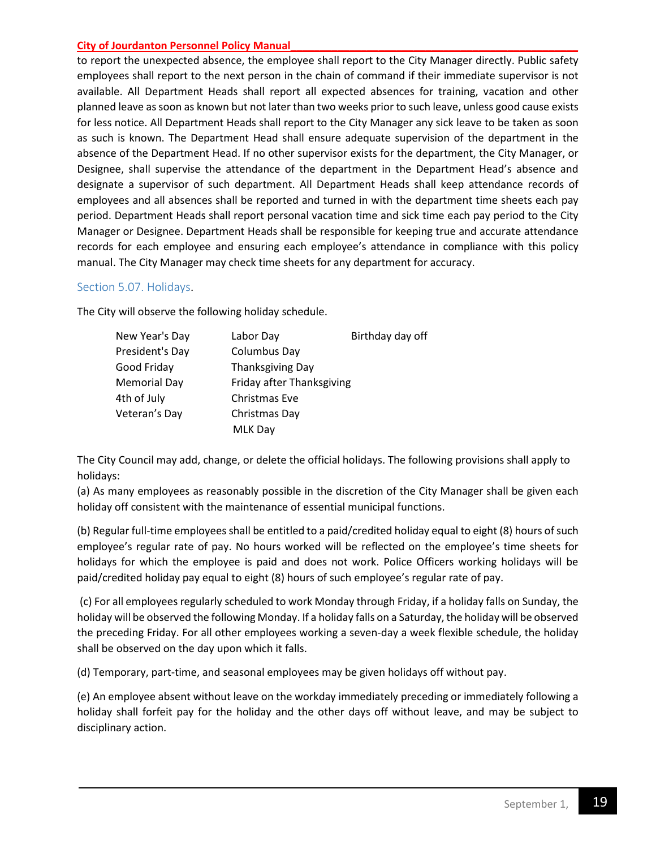to report the unexpected absence, the employee shall report to the City Manager directly. Public safety employees shall report to the next person in the chain of command if their immediate supervisor is not available. All Department Heads shall report all expected absences for training, vacation and other planned leave as soon as known but not later than two weeks prior to such leave, unless good cause exists for less notice. All Department Heads shall report to the City Manager any sick leave to be taken as soon as such is known. The Department Head shall ensure adequate supervision of the department in the absence of the Department Head. If no other supervisor exists for the department, the City Manager, or Designee, shall supervise the attendance of the department in the Department Head's absence and designate a supervisor of such department. All Department Heads shall keep attendance records of employees and all absences shall be reported and turned in with the department time sheets each pay period. Department Heads shall report personal vacation time and sick time each pay period to the City Manager or Designee. Department Heads shall be responsible for keeping true and accurate attendance records for each employee and ensuring each employee's attendance in compliance with this policy manual. The City Manager may check time sheets for any department for accuracy.

## <span id="page-18-0"></span>Section 5.07. Holidays.

The City will observe the following holiday schedule.

| New Year's Day      | Labor Day                 | Birthday day off |
|---------------------|---------------------------|------------------|
| President's Day     | Columbus Day              |                  |
| Good Friday         | Thanksgiving Day          |                  |
| <b>Memorial Day</b> | Friday after Thanksgiving |                  |
| 4th of July         | Christmas Eve             |                  |
| Veteran's Day       | Christmas Day             |                  |
|                     | <b>MLK Day</b>            |                  |

The City Council may add, change, or delete the official holidays. The following provisions shall apply to holidays:

(a) As many employees as reasonably possible in the discretion of the City Manager shall be given each holiday off consistent with the maintenance of essential municipal functions.

(b) Regular full-time employees shall be entitled to a paid/credited holiday equal to eight (8) hours of such employee's regular rate of pay. No hours worked will be reflected on the employee's time sheets for holidays for which the employee is paid and does not work. Police Officers working holidays will be paid/credited holiday pay equal to eight (8) hours of such employee's regular rate of pay.

(c) For all employees regularly scheduled to work Monday through Friday, if a holiday falls on Sunday, the holiday will be observed the following Monday. If a holiday falls on a Saturday, the holiday will be observed the preceding Friday. For all other employees working a seven-day a week flexible schedule, the holiday shall be observed on the day upon which it falls.

(d) Temporary, part-time, and seasonal employees may be given holidays off without pay.

(e) An employee absent without leave on the workday immediately preceding or immediately following a holiday shall forfeit pay for the holiday and the other days off without leave, and may be subject to disciplinary action.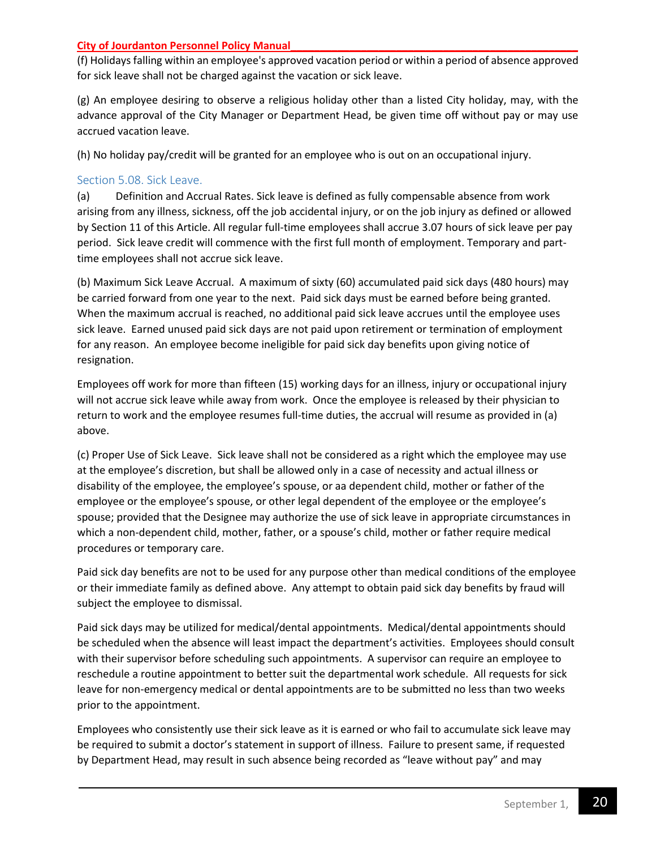(f) Holidays falling within an employee's approved vacation period or within a period of absence approved for sick leave shall not be charged against the vacation or sick leave.

(g) An employee desiring to observe a religious holiday other than a listed City holiday, may, with the advance approval of the City Manager or Department Head, be given time off without pay or may use accrued vacation leave.

(h) No holiday pay/credit will be granted for an employee who is out on an occupational injury.

## <span id="page-19-0"></span>Section 5.08. Sick Leave.

(a) Definition and Accrual Rates. Sick leave is defined as fully compensable absence from work arising from any illness, sickness, off the job accidental injury, or on the job injury as defined or allowed by Section 11 of this Article. All regular full-time employees shall accrue 3.07 hours of sick leave per pay period. Sick leave credit will commence with the first full month of employment. Temporary and parttime employees shall not accrue sick leave.

(b) Maximum Sick Leave Accrual. A maximum of sixty (60) accumulated paid sick days (480 hours) may be carried forward from one year to the next. Paid sick days must be earned before being granted. When the maximum accrual is reached, no additional paid sick leave accrues until the employee uses sick leave. Earned unused paid sick days are not paid upon retirement or termination of employment for any reason. An employee become ineligible for paid sick day benefits upon giving notice of resignation.

Employees off work for more than fifteen (15) working days for an illness, injury or occupational injury will not accrue sick leave while away from work. Once the employee is released by their physician to return to work and the employee resumes full-time duties, the accrual will resume as provided in (a) above.

(c) Proper Use of Sick Leave. Sick leave shall not be considered as a right which the employee may use at the employee's discretion, but shall be allowed only in a case of necessity and actual illness or disability of the employee, the employee's spouse, or aa dependent child, mother or father of the employee or the employee's spouse, or other legal dependent of the employee or the employee's spouse; provided that the Designee may authorize the use of sick leave in appropriate circumstances in which a non-dependent child, mother, father, or a spouse's child, mother or father require medical procedures or temporary care.

Paid sick day benefits are not to be used for any purpose other than medical conditions of the employee or their immediate family as defined above. Any attempt to obtain paid sick day benefits by fraud will subject the employee to dismissal.

Paid sick days may be utilized for medical/dental appointments. Medical/dental appointments should be scheduled when the absence will least impact the department's activities. Employees should consult with their supervisor before scheduling such appointments. A supervisor can require an employee to reschedule a routine appointment to better suit the departmental work schedule. All requests for sick leave for non-emergency medical or dental appointments are to be submitted no less than two weeks prior to the appointment.

Employees who consistently use their sick leave as it is earned or who fail to accumulate sick leave may be required to submit a doctor's statement in support of illness. Failure to present same, if requested by Department Head, may result in such absence being recorded as "leave without pay" and may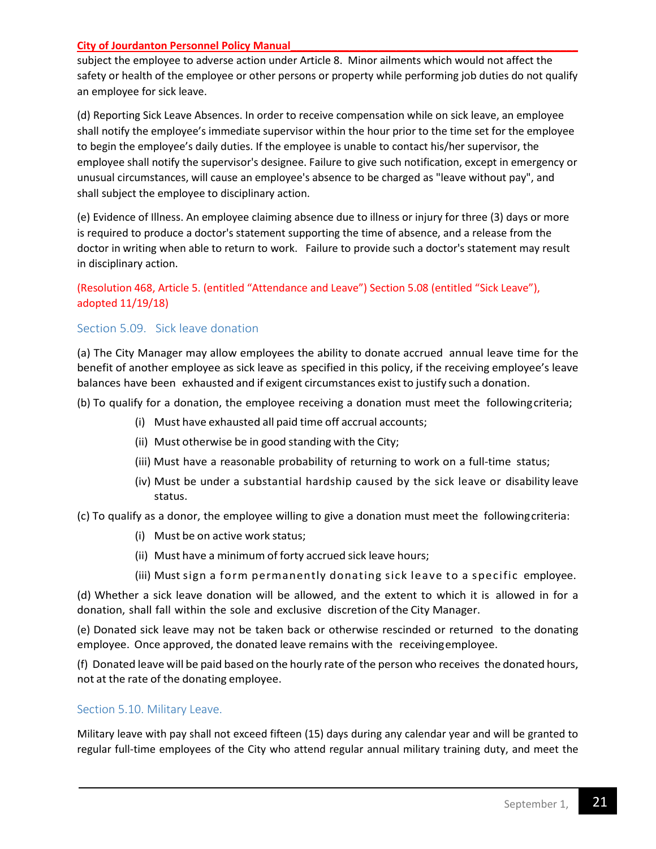subject the employee to adverse action under Article 8. Minor ailments which would not affect the safety or health of the employee or other persons or property while performing job duties do not qualify an employee for sick leave.

(d) Reporting Sick Leave Absences. In order to receive compensation while on sick leave, an employee shall notify the employee's immediate supervisor within the hour prior to the time set for the employee to begin the employee's daily duties. If the employee is unable to contact his/her supervisor, the employee shall notify the supervisor's designee. Failure to give such notification, except in emergency or unusual circumstances, will cause an employee's absence to be charged as "leave without pay", and shall subject the employee to disciplinary action.

(e) Evidence of Illness. An employee claiming absence due to illness or injury for three (3) days or more is required to produce a doctor's statement supporting the time of absence, and a release from the doctor in writing when able to return to work. Failure to provide such a doctor's statement may result in disciplinary action.

## (Resolution 468, Article 5. (entitled "Attendance and Leave") Section 5.08 (entitled "Sick Leave"), adopted 11/19/18)

## <span id="page-20-0"></span>Section 5.09. Sick leave donation

(a) The City Manager may allow employees the ability to donate accrued annual leave time for the benefit of another employee as sick leave as specified in this policy, if the receiving employee's leave balances have been exhausted and if exigent circumstances exist to justify such a donation.

(b) To qualify for a donation, the employee receiving a donation must meet the followingcriteria;

- (i) Must have exhausted all paid time off accrual accounts;
- (ii) Must otherwise be in good standing with the City;
- (iii) Must have a reasonable probability of returning to work on a full-time status;
- (iv) Must be under a substantial hardship caused by the sick leave or disability leave status.

(c) To qualify as a donor, the employee willing to give a donation must meet the followingcriteria:

- (i) Must be on active work status;
- (ii) Must have a minimum of forty accrued sick leave hours;
- (iii) Must sign a form permanently donating sick leave to a specific employee.

(d) Whether a sick leave donation will be allowed, and the extent to which it is allowed in for a donation, shall fall within the sole and exclusive discretion of the City Manager.

(e) Donated sick leave may not be taken back or otherwise rescinded or returned to the donating employee. Once approved, the donated leave remains with the receivingemployee.

(f) Donated leave will be paid based on the hourly rate of the person who receives the donated hours, not at the rate of the donating employee.

#### <span id="page-20-1"></span>Section 5.10. Military Leave.

Military leave with pay shall not exceed fifteen (15) days during any calendar year and will be granted to regular full-time employees of the City who attend regular annual military training duty, and meet the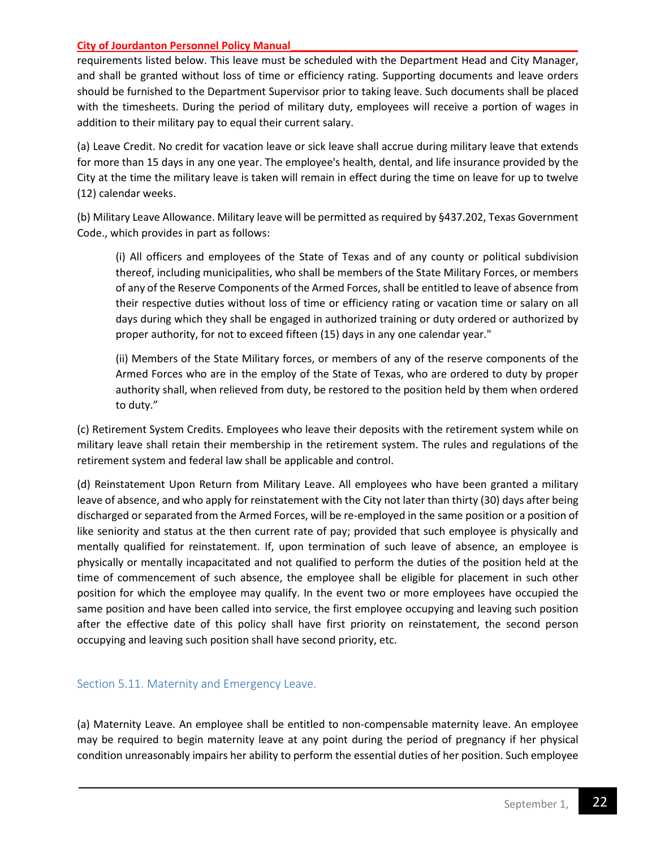requirements listed below. This leave must be scheduled with the Department Head and City Manager, and shall be granted without loss of time or efficiency rating. Supporting documents and leave orders should be furnished to the Department Supervisor prior to taking leave. Such documents shall be placed with the timesheets. During the period of military duty, employees will receive a portion of wages in addition to their military pay to equal their current salary.

(a) Leave Credit. No credit for vacation leave or sick leave shall accrue during military leave that extends for more than 15 days in any one year. The employee's health, dental, and life insurance provided by the City at the time the military leave is taken will remain in effect during the time on leave for up to twelve (12) calendar weeks.

(b) Military Leave Allowance. Military leave will be permitted as required by §437.202, Texas Government Code., which provides in part as follows:

(i) All officers and employees of the State of Texas and of any county or political subdivision thereof, including municipalities, who shall be members of the State Military Forces, or members of any of the Reserve Components of the Armed Forces, shall be entitled to leave of absence from their respective duties without loss of time or efficiency rating or vacation time or salary on all days during which they shall be engaged in authorized training or duty ordered or authorized by proper authority, for not to exceed fifteen (15) days in any one calendar year."

(ii) Members of the State Military forces, or members of any of the reserve components of the Armed Forces who are in the employ of the State of Texas, who are ordered to duty by proper authority shall, when relieved from duty, be restored to the position held by them when ordered to duty."

(c) Retirement System Credits. Employees who leave their deposits with the retirement system while on military leave shall retain their membership in the retirement system. The rules and regulations of the retirement system and federal law shall be applicable and control.

(d) Reinstatement Upon Return from Military Leave. All employees who have been granted a military leave of absence, and who apply for reinstatement with the City not later than thirty (30) days after being discharged or separated from the Armed Forces, will be re-employed in the same position or a position of like seniority and status at the then current rate of pay; provided that such employee is physically and mentally qualified for reinstatement. If, upon termination of such leave of absence, an employee is physically or mentally incapacitated and not qualified to perform the duties of the position held at the time of commencement of such absence, the employee shall be eligible for placement in such other position for which the employee may qualify. In the event two or more employees have occupied the same position and have been called into service, the first employee occupying and leaving such position after the effective date of this policy shall have first priority on reinstatement, the second person occupying and leaving such position shall have second priority, etc.

## <span id="page-21-0"></span>Section 5.11. Maternity and Emergency Leave.

(a) Maternity Leave. An employee shall be entitled to non-compensable maternity leave. An employee may be required to begin maternity leave at any point during the period of pregnancy if her physical condition unreasonably impairs her ability to perform the essential duties of her position. Such employee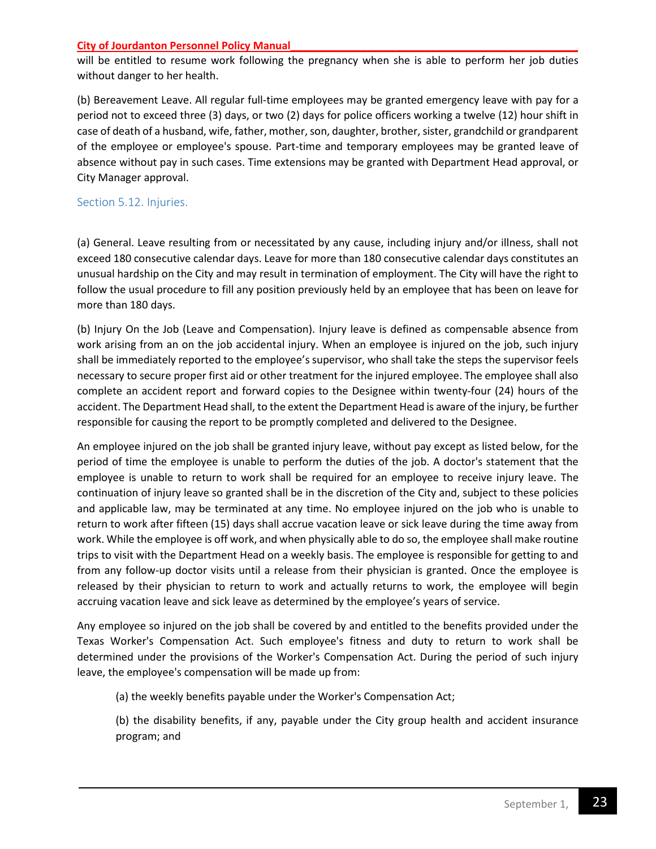will be entitled to resume work following the pregnancy when she is able to perform her job duties without danger to her health.

(b) Bereavement Leave. All regular full-time employees may be granted emergency leave with pay for a period not to exceed three (3) days, or two (2) days for police officers working a twelve (12) hour shift in case of death of a husband, wife, father, mother, son, daughter, brother, sister, grandchild or grandparent of the employee or employee's spouse. Part-time and temporary employees may be granted leave of absence without pay in such cases. Time extensions may be granted with Department Head approval, or City Manager approval.

## <span id="page-22-0"></span>Section 5.12. Injuries.

(a) General. Leave resulting from or necessitated by any cause, including injury and/or illness, shall not exceed 180 consecutive calendar days. Leave for more than 180 consecutive calendar days constitutes an unusual hardship on the City and may result in termination of employment. The City will have the right to follow the usual procedure to fill any position previously held by an employee that has been on leave for more than 180 days.

(b) Injury On the Job (Leave and Compensation). Injury leave is defined as compensable absence from work arising from an on the job accidental injury. When an employee is injured on the job, such injury shall be immediately reported to the employee's supervisor, who shall take the steps the supervisor feels necessary to secure proper first aid or other treatment for the injured employee. The employee shall also complete an accident report and forward copies to the Designee within twenty-four (24) hours of the accident. The Department Head shall, to the extent the Department Head is aware of the injury, be further responsible for causing the report to be promptly completed and delivered to the Designee.

An employee injured on the job shall be granted injury leave, without pay except as listed below, for the period of time the employee is unable to perform the duties of the job. A doctor's statement that the employee is unable to return to work shall be required for an employee to receive injury leave. The continuation of injury leave so granted shall be in the discretion of the City and, subject to these policies and applicable law, may be terminated at any time. No employee injured on the job who is unable to return to work after fifteen (15) days shall accrue vacation leave or sick leave during the time away from work. While the employee is off work, and when physically able to do so, the employee shall make routine trips to visit with the Department Head on a weekly basis. The employee is responsible for getting to and from any follow-up doctor visits until a release from their physician is granted. Once the employee is released by their physician to return to work and actually returns to work, the employee will begin accruing vacation leave and sick leave as determined by the employee's years of service.

Any employee so injured on the job shall be covered by and entitled to the benefits provided under the Texas Worker's Compensation Act. Such employee's fitness and duty to return to work shall be determined under the provisions of the Worker's Compensation Act. During the period of such injury leave, the employee's compensation will be made up from:

(a) the weekly benefits payable under the Worker's Compensation Act;

(b) the disability benefits, if any, payable under the City group health and accident insurance program; and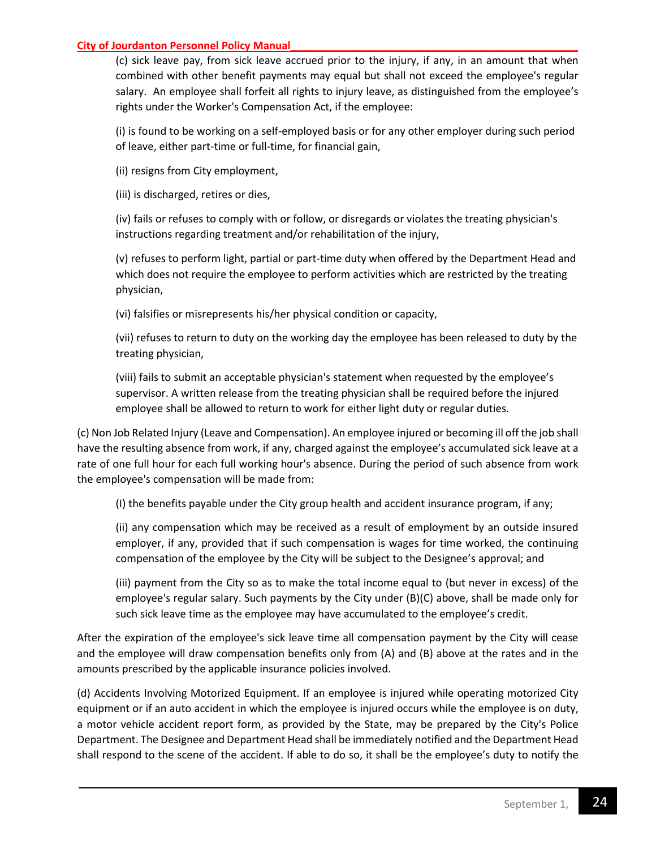(c) sick leave pay, from sick leave accrued prior to the injury, if any, in an amount that when combined with other benefit payments may equal but shall not exceed the employee's regular salary. An employee shall forfeit all rights to injury leave, as distinguished from the employee's rights under the Worker's Compensation Act, if the employee:

(i) is found to be working on a self-employed basis or for any other employer during such period of leave, either part-time or full-time, for financial gain,

(ii) resigns from City employment,

(iii) is discharged, retires or dies,

(iv) fails or refuses to comply with or follow, or disregards or violates the treating physician's instructions regarding treatment and/or rehabilitation of the injury,

(v) refuses to perform light, partial or part-time duty when offered by the Department Head and which does not require the employee to perform activities which are restricted by the treating physician,

(vi) falsifies or misrepresents his/her physical condition or capacity,

(vii) refuses to return to duty on the working day the employee has been released to duty by the treating physician,

(viii) fails to submit an acceptable physician's statement when requested by the employee's supervisor. A written release from the treating physician shall be required before the injured employee shall be allowed to return to work for either light duty or regular duties.

(c) Non Job Related Injury (Leave and Compensation). An employee injured or becoming ill off the job shall have the resulting absence from work, if any, charged against the employee's accumulated sick leave at a rate of one full hour for each full working hour's absence. During the period of such absence from work the employee's compensation will be made from:

(I) the benefits payable under the City group health and accident insurance program, if any;

(ii) any compensation which may be received as a result of employment by an outside insured employer, if any, provided that if such compensation is wages for time worked, the continuing compensation of the employee by the City will be subject to the Designee's approval; and

(iii) payment from the City so as to make the total income equal to (but never in excess) of the employee's regular salary. Such payments by the City under (B)(C) above, shall be made only for such sick leave time as the employee may have accumulated to the employee's credit.

After the expiration of the employee's sick leave time all compensation payment by the City will cease and the employee will draw compensation benefits only from (A) and (B) above at the rates and in the amounts prescribed by the applicable insurance policies involved.

(d) Accidents Involving Motorized Equipment. If an employee is injured while operating motorized City equipment or if an auto accident in which the employee is injured occurs while the employee is on duty, a motor vehicle accident report form, as provided by the State, may be prepared by the City's Police Department. The Designee and Department Head shall be immediately notified and the Department Head shall respond to the scene of the accident. If able to do so, it shall be the employee's duty to notify the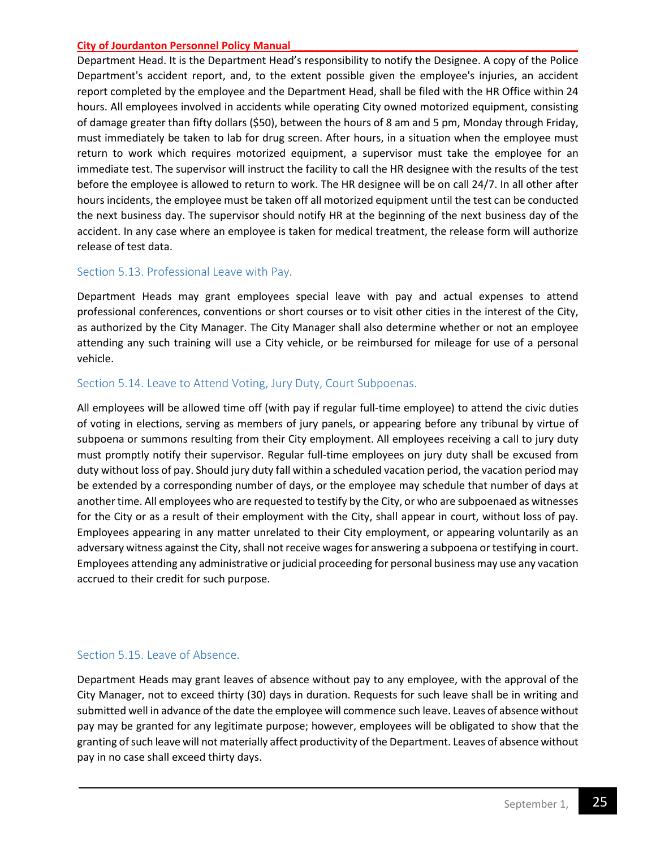Department Head. It is the Department Head's responsibility to notify the Designee. A copy of the Police Department's accident report, and, to the extent possible given the employee's injuries, an accident report completed by the employee and the Department Head, shall be filed with the HR Office within 24 hours. All employees involved in accidents while operating City owned motorized equipment, consisting of damage greater than fifty dollars (\$50), between the hours of 8 am and 5 pm, Monday through Friday, must immediately be taken to lab for drug screen. After hours, in a situation when the employee must return to work which requires motorized equipment, a supervisor must take the employee for an immediate test. The supervisor will instruct the facility to call the HR designee with the results of the test before the employee is allowed to return to work. The HR designee will be on call 24/7. In all other after hours incidents, the employee must be taken off all motorized equipment until the test can be conducted the next business day. The supervisor should notify HR at the beginning of the next business day of the accident. In any case where an employee is taken for medical treatment, the release form will authorize release of test data.

## <span id="page-24-0"></span>Section 5.13. Professional Leave with Pay.

Department Heads may grant employees special leave with pay and actual expenses to attend professional conferences, conventions or short courses or to visit other cities in the interest of the City, as authorized by the City Manager. The City Manager shall also determine whether or not an employee attending any such training will use a City vehicle, or be reimbursed for mileage for use of a personal vehicle.

## <span id="page-24-1"></span>Section 5.14. Leave to Attend Voting, Jury Duty, Court Subpoenas.

All employees will be allowed time off (with pay if regular full-time employee) to attend the civic duties of voting in elections, serving as members of jury panels, or appearing before any tribunal by virtue of subpoena or summons resulting from their City employment. All employees receiving a call to jury duty must promptly notify their supervisor. Regular full-time employees on jury duty shall be excused from duty without loss of pay. Should jury duty fall within a scheduled vacation period, the vacation period may be extended by a corresponding number of days, or the employee may schedule that number of days at another time. All employees who are requested to testify by the City, or who are subpoenaed as witnesses for the City or as a result of their employment with the City, shall appear in court, without loss of pay. Employees appearing in any matter unrelated to their City employment, or appearing voluntarily as an adversary witness against the City, shall not receive wages for answering a subpoena or testifying in court. Employees attending any administrative or judicial proceeding for personal business may use any vacation accrued to their credit for such purpose.

## <span id="page-24-2"></span>Section 5.15. Leave of Absence.

Department Heads may grant leaves of absence without pay to any employee, with the approval of the City Manager, not to exceed thirty (30) days in duration. Requests for such leave shall be in writing and submitted well in advance of the date the employee will commence such leave. Leaves of absence without pay may be granted for any legitimate purpose; however, employees will be obligated to show that the granting of such leave will not materially affect productivity of the Department. Leaves of absence without pay in no case shall exceed thirty days.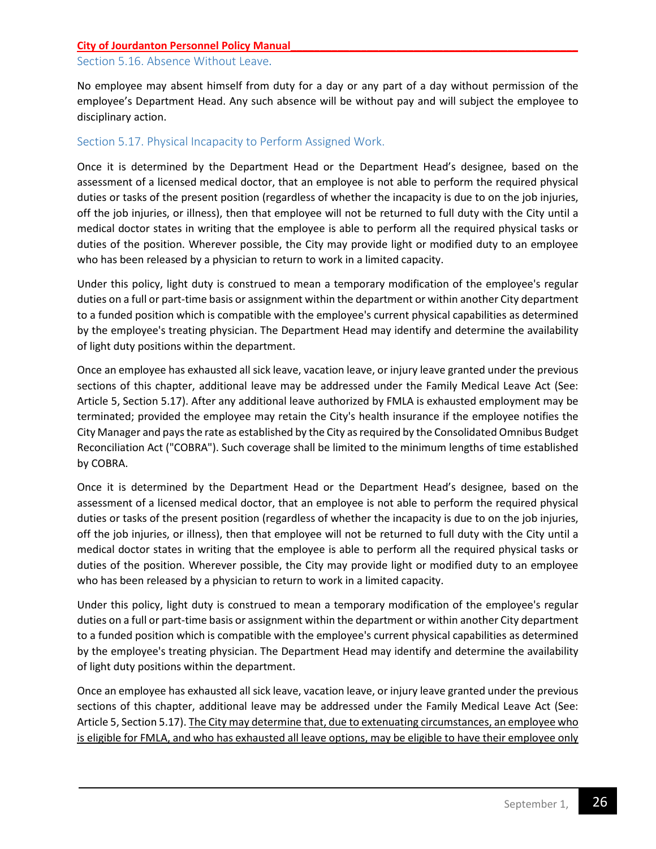#### <span id="page-25-0"></span>Section 5.16. Absence Without Leave.

No employee may absent himself from duty for a day or any part of a day without permission of the employee's Department Head. Any such absence will be without pay and will subject the employee to disciplinary action.

## <span id="page-25-1"></span>Section 5.17. Physical Incapacity to Perform Assigned Work.

Once it is determined by the Department Head or the Department Head's designee, based on the assessment of a licensed medical doctor, that an employee is not able to perform the required physical duties or tasks of the present position (regardless of whether the incapacity is due to on the job injuries, off the job injuries, or illness), then that employee will not be returned to full duty with the City until a medical doctor states in writing that the employee is able to perform all the required physical tasks or duties of the position. Wherever possible, the City may provide light or modified duty to an employee who has been released by a physician to return to work in a limited capacity.

Under this policy, light duty is construed to mean a temporary modification of the employee's regular duties on a full or part-time basis or assignment within the department or within another City department to a funded position which is compatible with the employee's current physical capabilities as determined by the employee's treating physician. The Department Head may identify and determine the availability of light duty positions within the department.

Once an employee has exhausted all sick leave, vacation leave, or injury leave granted under the previous sections of this chapter, additional leave may be addressed under the Family Medical Leave Act (See: Article 5, Section 5.17). After any additional leave authorized by FMLA is exhausted employment may be terminated; provided the employee may retain the City's health insurance if the employee notifies the City Manager and pays the rate as established by the City as required by the Consolidated Omnibus Budget Reconciliation Act ("COBRA"). Such coverage shall be limited to the minimum lengths of time established by COBRA.

Once it is determined by the Department Head or the Department Head's designee, based on the assessment of a licensed medical doctor, that an employee is not able to perform the required physical duties or tasks of the present position (regardless of whether the incapacity is due to on the job injuries, off the job injuries, or illness), then that employee will not be returned to full duty with the City until a medical doctor states in writing that the employee is able to perform all the required physical tasks or duties of the position. Wherever possible, the City may provide light or modified duty to an employee who has been released by a physician to return to work in a limited capacity.

Under this policy, light duty is construed to mean a temporary modification of the employee's regular duties on a full or part-time basis or assignment within the department or within another City department to a funded position which is compatible with the employee's current physical capabilities as determined by the employee's treating physician. The Department Head may identify and determine the availability of light duty positions within the department.

Once an employee has exhausted all sick leave, vacation leave, or injury leave granted under the previous sections of this chapter, additional leave may be addressed under the Family Medical Leave Act (See: Article 5, Section 5.17). The City may determine that, due to extenuating circumstances, an employee who is eligible for FMLA, and who has exhausted all leave options, may be eligible to have their employee only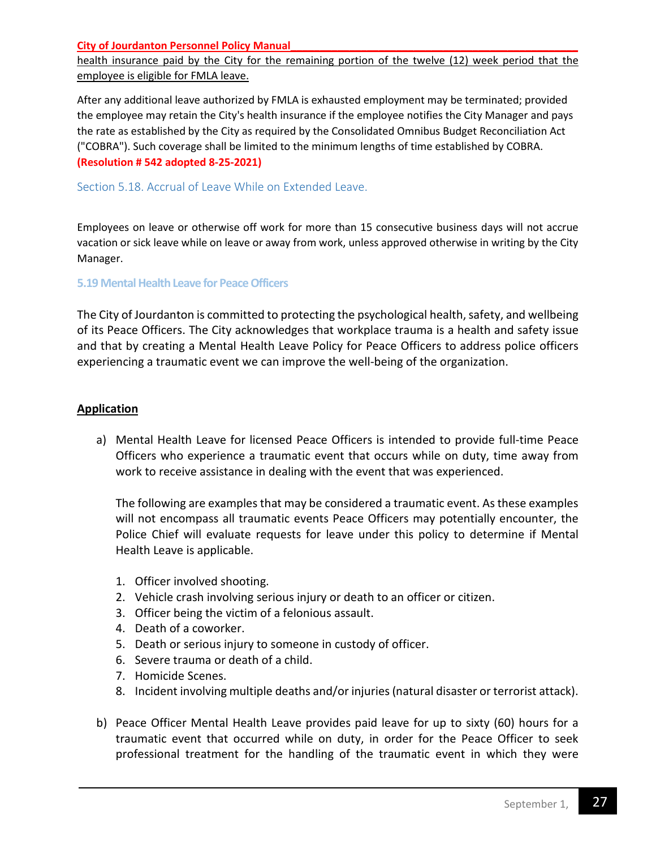health insurance paid by the City for the remaining portion of the twelve (12) week period that the employee is eligible for FMLA leave.

After any additional leave authorized by FMLA is exhausted employment may be terminated; provided the employee may retain the City's health insurance if the employee notifies the City Manager and pays the rate as established by the City as required by the Consolidated Omnibus Budget Reconciliation Act ("COBRA"). Such coverage shall be limited to the minimum lengths of time established by COBRA. **(Resolution # 542 adopted 8-25-2021)**

<span id="page-26-0"></span>Section 5.18. Accrual of Leave While on Extended Leave.

Employees on leave or otherwise off work for more than 15 consecutive business days will not accrue vacation or sick leave while on leave or away from work, unless approved otherwise in writing by the City Manager.

#### **5.19 Mental Health Leave for Peace Officers**

The City of Jourdanton is committed to protecting the psychological health, safety, and wellbeing of its Peace Officers. The City acknowledges that workplace trauma is a health and safety issue and that by creating a Mental Health Leave Policy for Peace Officers to address police officers experiencing a traumatic event we can improve the well-being of the organization.

## **Application**

a) Mental Health Leave for licensed Peace Officers is intended to provide full-time Peace Officers who experience a traumatic event that occurs while on duty, time away from work to receive assistance in dealing with the event that was experienced.

The following are examples that may be considered a traumatic event. As these examples will not encompass all traumatic events Peace Officers may potentially encounter, the Police Chief will evaluate requests for leave under this policy to determine if Mental Health Leave is applicable.

- 1. Officer involved shooting.
- 2. Vehicle crash involving serious injury or death to an officer or citizen.
- 3. Officer being the victim of a felonious assault.
- 4. Death of a coworker.
- 5. Death or serious injury to someone in custody of officer.
- 6. Severe trauma or death of a child.
- 7. Homicide Scenes.
- 8. Incident involving multiple deaths and/or injuries (natural disaster or terrorist attack).
- b) Peace Officer Mental Health Leave provides paid leave for up to sixty (60) hours for a traumatic event that occurred while on duty, in order for the Peace Officer to seek professional treatment for the handling of the traumatic event in which they were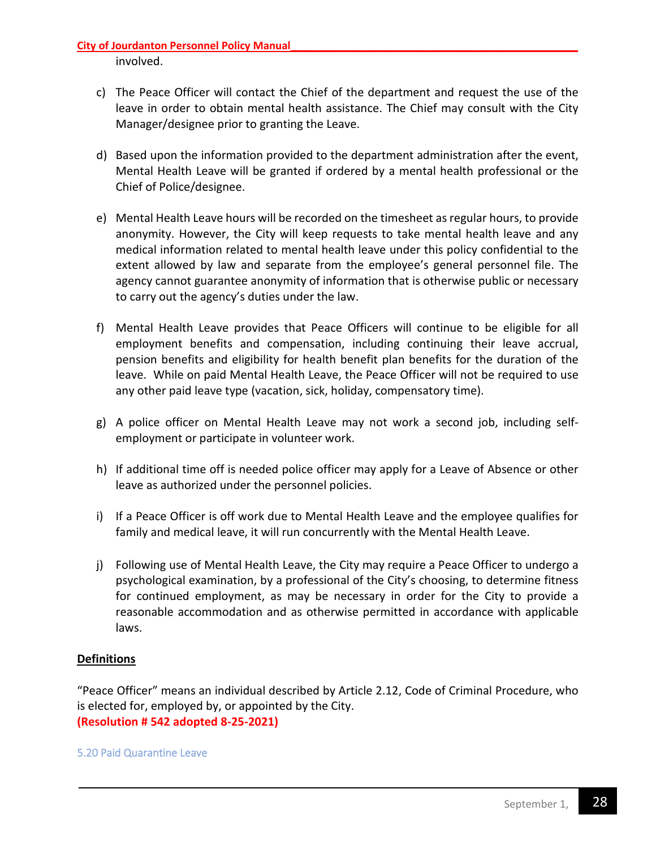involved.

- c) The Peace Officer will contact the Chief of the department and request the use of the leave in order to obtain mental health assistance. The Chief may consult with the City Manager/designee prior to granting the Leave.
- d) Based upon the information provided to the department administration after the event, Mental Health Leave will be granted if ordered by a mental health professional or the Chief of Police/designee.
- e) Mental Health Leave hours will be recorded on the timesheet as regular hours, to provide anonymity. However, the City will keep requests to take mental health leave and any medical information related to mental health leave under this policy confidential to the extent allowed by law and separate from the employee's general personnel file. The agency cannot guarantee anonymity of information that is otherwise public or necessary to carry out the agency's duties under the law.
- f) Mental Health Leave provides that Peace Officers will continue to be eligible for all employment benefits and compensation, including continuing their leave accrual, pension benefits and eligibility for health benefit plan benefits for the duration of the leave. While on paid Mental Health Leave, the Peace Officer will not be required to use any other paid leave type (vacation, sick, holiday, compensatory time).
- g) A police officer on Mental Health Leave may not work a second job, including selfemployment or participate in volunteer work.
- h) If additional time off is needed police officer may apply for a Leave of Absence or other leave as authorized under the personnel policies.
- i) If a Peace Officer is off work due to Mental Health Leave and the employee qualifies for family and medical leave, it will run concurrently with the Mental Health Leave.
- j) Following use of Mental Health Leave, the City may require a Peace Officer to undergo a psychological examination, by a professional of the City's choosing, to determine fitness for continued employment, as may be necessary in order for the City to provide a reasonable accommodation and as otherwise permitted in accordance with applicable laws.

## **Definitions**

"Peace Officer" means an individual described by Article 2.12, Code of Criminal Procedure, who is elected for, employed by, or appointed by the City. **(Resolution # 542 adopted 8-25-2021)**

5.20 Paid Quarantine Leave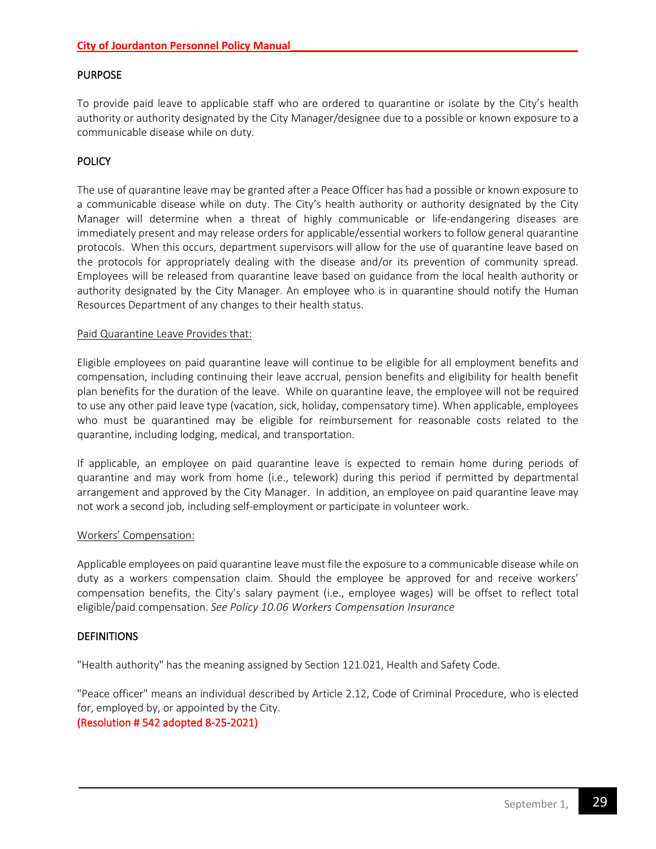## PURPOSE

To provide paid leave to applicable staff who are ordered to quarantine or isolate by the City's health authority or authority designated by the City Manager/designee due to a possible or known exposure to a communicable disease while on duty.

## **POLICY**

The use of quarantine leave may be granted after a Peace Officer has had a possible or known exposure to a communicable disease while on duty. The City's health authority or authority designated by the City Manager will determine when a threat of highly communicable or life-endangering diseases are immediately present and may release orders for applicable/essential workers to follow general quarantine protocols. When this occurs, department supervisors will allow for the use of quarantine leave based on the protocols for appropriately dealing with the disease and/or its prevention of community spread. Employees will be released from quarantine leave based on guidance from the local health authority or authority designated by the City Manager. An employee who is in quarantine should notify the Human Resources Department of any changes to their health status.

#### Paid Quarantine Leave Provides that:

Eligible employees on paid quarantine leave will continue to be eligible for all employment benefits and compensation, including continuing their leave accrual, pension benefits and eligibility for health benefit plan benefits for the duration of the leave. While on quarantine leave, the employee will not be required to use any other paid leave type (vacation, sick, holiday, compensatory time). When applicable, employees who must be quarantined may be eligible for reimbursement for reasonable costs related to the quarantine, including lodging, medical, and transportation.

If applicable, an employee on paid quarantine leave is expected to remain home during periods of quarantine and may work from home (i.e., telework) during this period if permitted by departmental arrangement and approved by the City Manager. In addition, an employee on paid quarantine leave may not work a second job, including self-employment or participate in volunteer work.

#### Workers' Compensation:

Applicable employees on paid quarantine leave must file the exposure to a communicable disease while on duty as a workers compensation claim. Should the employee be approved for and receive workers' compensation benefits, the City's salary payment (i.e., employee wages) will be offset to reflect total eligible/paid compensation. *See Policy 10.06 Workers Compensation Insurance*

#### **DEFINITIONS**

"Health authority" has the meaning assigned by Section 121.021, Health and Safety Code.

"Peace officer" means an individual described by Article 2.12, Code of Criminal Procedure, who is elected for, employed by, or appointed by the City.

#### (Resolution # 542 adopted 8-25-2021)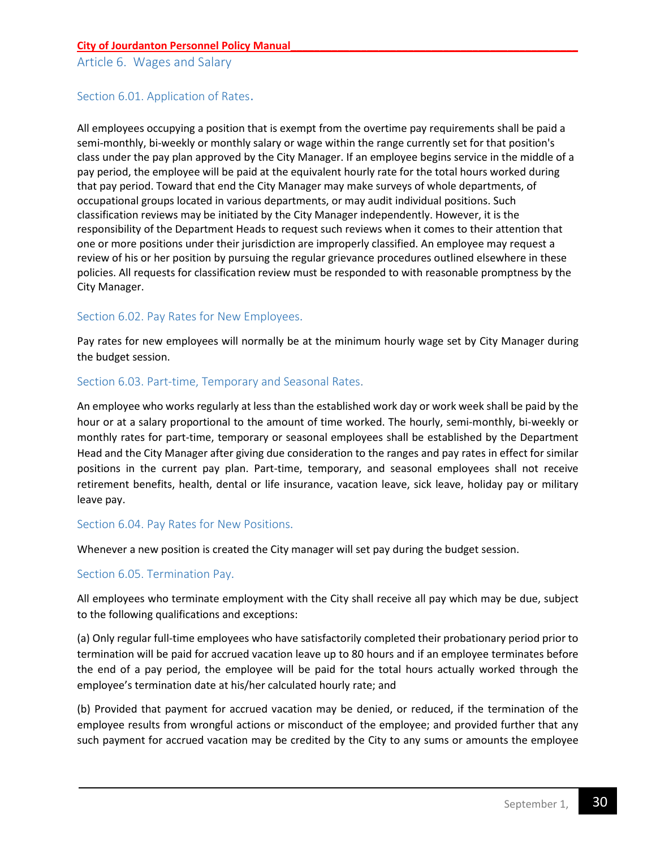<span id="page-29-0"></span>Article 6. Wages and Salary

## Section 6.01. Application of Rates.

All employees occupying a position that is exempt from the overtime pay requirements shall be paid a semi-monthly, bi-weekly or monthly salary or wage within the range currently set for that position's class under the pay plan approved by the City Manager. If an employee begins service in the middle of a pay period, the employee will be paid at the equivalent hourly rate for the total hours worked during that pay period. Toward that end the City Manager may make surveys of whole departments, of occupational groups located in various departments, or may audit individual positions. Such classification reviews may be initiated by the City Manager independently. However, it is the responsibility of the Department Heads to request such reviews when it comes to their attention that one or more positions under their jurisdiction are improperly classified. An employee may request a review of his or her position by pursuing the regular grievance procedures outlined elsewhere in these policies. All requests for classification review must be responded to with reasonable promptness by the City Manager.

## <span id="page-29-1"></span>Section 6.02. Pay Rates for New Employees.

Pay rates for new employees will normally be at the minimum hourly wage set by City Manager during the budget session.

## <span id="page-29-2"></span>Section 6.03. Part-time, Temporary and Seasonal Rates.

An employee who works regularly at less than the established work day or work week shall be paid by the hour or at a salary proportional to the amount of time worked. The hourly, semi-monthly, bi-weekly or monthly rates for part-time, temporary or seasonal employees shall be established by the Department Head and the City Manager after giving due consideration to the ranges and pay rates in effect for similar positions in the current pay plan. Part-time, temporary, and seasonal employees shall not receive retirement benefits, health, dental or life insurance, vacation leave, sick leave, holiday pay or military leave pay.

#### <span id="page-29-3"></span>Section 6.04. Pay Rates for New Positions.

Whenever a new position is created the City manager will set pay during the budget session.

## <span id="page-29-4"></span>Section 6.05. Termination Pay.

All employees who terminate employment with the City shall receive all pay which may be due, subject to the following qualifications and exceptions:

(a) Only regular full-time employees who have satisfactorily completed their probationary period prior to termination will be paid for accrued vacation leave up to 80 hours and if an employee terminates before the end of a pay period, the employee will be paid for the total hours actually worked through the employee's termination date at his/her calculated hourly rate; and

(b) Provided that payment for accrued vacation may be denied, or reduced, if the termination of the employee results from wrongful actions or misconduct of the employee; and provided further that any such payment for accrued vacation may be credited by the City to any sums or amounts the employee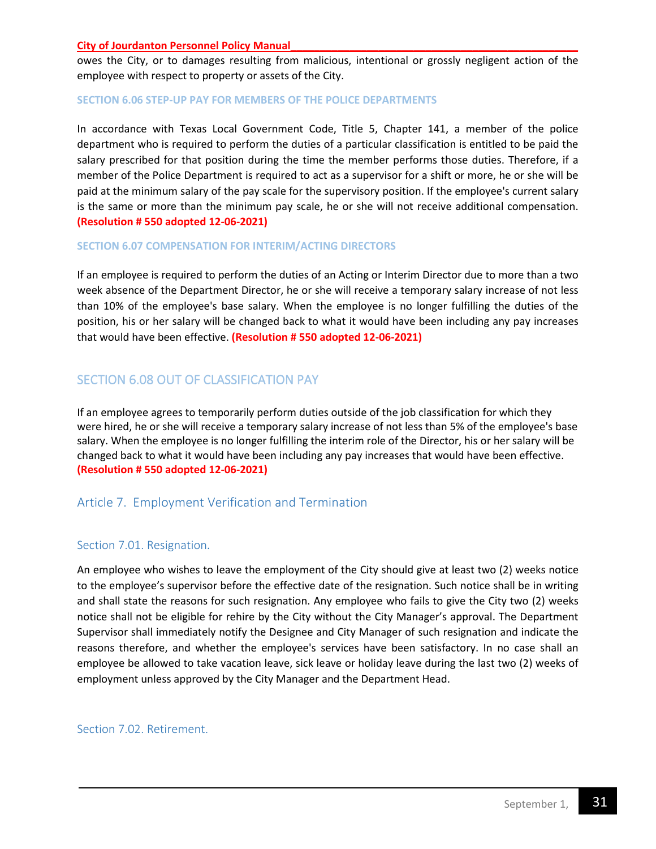owes the City, or to damages resulting from malicious, intentional or grossly negligent action of the employee with respect to property or assets of the City.

#### **SECTION 6.06 STEP-UP PAY FOR MEMBERS OF THE POLICE DEPARTMENTS**

In accordance with Texas Local Government Code, Title 5, Chapter 141, a member of the police department who is required to perform the duties of a particular classification is entitled to be paid the salary prescribed for that position during the time the member performs those duties. Therefore, if a member of the Police Department is required to act as a supervisor for a shift or more, he or she will be paid at the minimum salary of the pay scale for the supervisory position. If the employee's current salary is the same or more than the minimum pay scale, he or she will not receive additional compensation. **(Resolution # 550 adopted 12-06-2021)**

#### **SECTION 6.07 COMPENSATION FOR INTERIM/ACTING DIRECTORS**

If an employee is required to perform the duties of an Acting or Interim Director due to more than a two week absence of the Department Director, he or she will receive a temporary salary increase of not less than 10% of the employee's base salary. When the employee is no longer fulfilling the duties of the position, his or her salary will be changed back to what it would have been including any pay increases that would have been effective. **(Resolution # 550 adopted 12-06-2021)**

## SECTION 6.08 OUT OF CLASSIFICATION PAY

If an employee agrees to temporarily perform duties outside of the job classification for which they were hired, he or she will receive a temporary salary increase of not less than 5% of the employee's base salary. When the employee is no longer fulfilling the interim role of the Director, his or her salary will be changed back to what it would have been including any pay increases that would have been effective. **(Resolution # 550 adopted 12-06-2021)**

## <span id="page-30-1"></span><span id="page-30-0"></span>Article 7. Employment Verification and Termination

#### Section 7.01. Resignation.

An employee who wishes to leave the employment of the City should give at least two (2) weeks notice to the employee's supervisor before the effective date of the resignation. Such notice shall be in writing and shall state the reasons for such resignation. Any employee who fails to give the City two (2) weeks notice shall not be eligible for rehire by the City without the City Manager's approval. The Department Supervisor shall immediately notify the Designee and City Manager of such resignation and indicate the reasons therefore, and whether the employee's services have been satisfactory. In no case shall an employee be allowed to take vacation leave, sick leave or holiday leave during the last two (2) weeks of employment unless approved by the City Manager and the Department Head.

<span id="page-30-2"></span>Section 7.02. Retirement.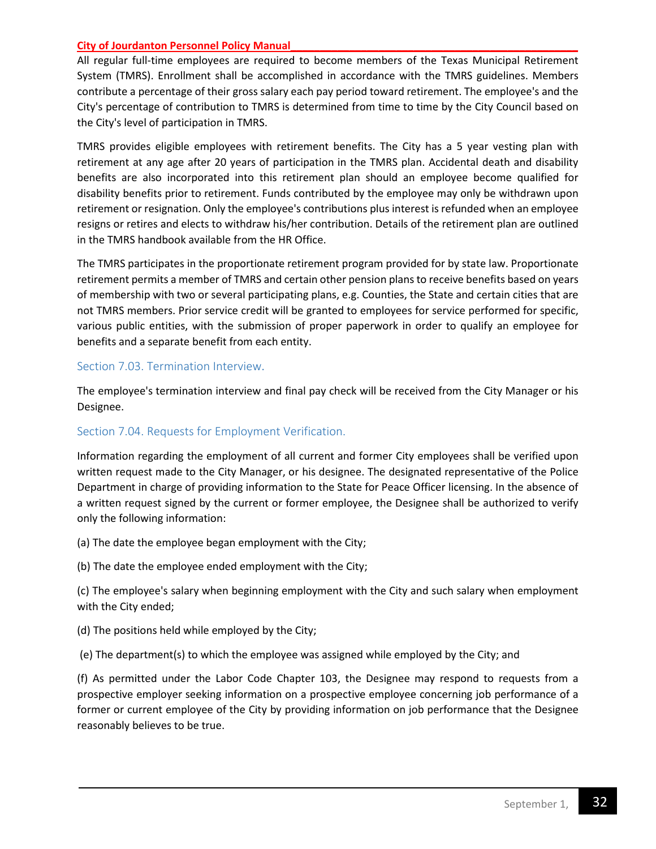All regular full-time employees are required to become members of the Texas Municipal Retirement System (TMRS). Enrollment shall be accomplished in accordance with the TMRS guidelines. Members contribute a percentage of their gross salary each pay period toward retirement. The employee's and the City's percentage of contribution to TMRS is determined from time to time by the City Council based on the City's level of participation in TMRS.

TMRS provides eligible employees with retirement benefits. The City has a 5 year vesting plan with retirement at any age after 20 years of participation in the TMRS plan. Accidental death and disability benefits are also incorporated into this retirement plan should an employee become qualified for disability benefits prior to retirement. Funds contributed by the employee may only be withdrawn upon retirement or resignation. Only the employee's contributions plus interest is refunded when an employee resigns or retires and elects to withdraw his/her contribution. Details of the retirement plan are outlined in the TMRS handbook available from the HR Office.

The TMRS participates in the proportionate retirement program provided for by state law. Proportionate retirement permits a member of TMRS and certain other pension plans to receive benefits based on years of membership with two or several participating plans, e.g. Counties, the State and certain cities that are not TMRS members. Prior service credit will be granted to employees for service performed for specific, various public entities, with the submission of proper paperwork in order to qualify an employee for benefits and a separate benefit from each entity.

#### <span id="page-31-0"></span>Section 7.03. Termination Interview.

The employee's termination interview and final pay check will be received from the City Manager or his Designee.

## Section 7.04. Requests for Employment Verification.

Information regarding the employment of all current and former City employees shall be verified upon written request made to the City Manager, or his designee. The designated representative of the Police Department in charge of providing information to the State for Peace Officer licensing. In the absence of a written request signed by the current or former employee, the Designee shall be authorized to verify only the following information:

(a) The date the employee began employment with the City;

(b) The date the employee ended employment with the City;

(c) The employee's salary when beginning employment with the City and such salary when employment with the City ended;

(d) The positions held while employed by the City;

(e) The department(s) to which the employee was assigned while employed by the City; and

(f) As permitted under the Labor Code Chapter 103, the Designee may respond to requests from a prospective employer seeking information on a prospective employee concerning job performance of a former or current employee of the City by providing information on job performance that the Designee reasonably believes to be true.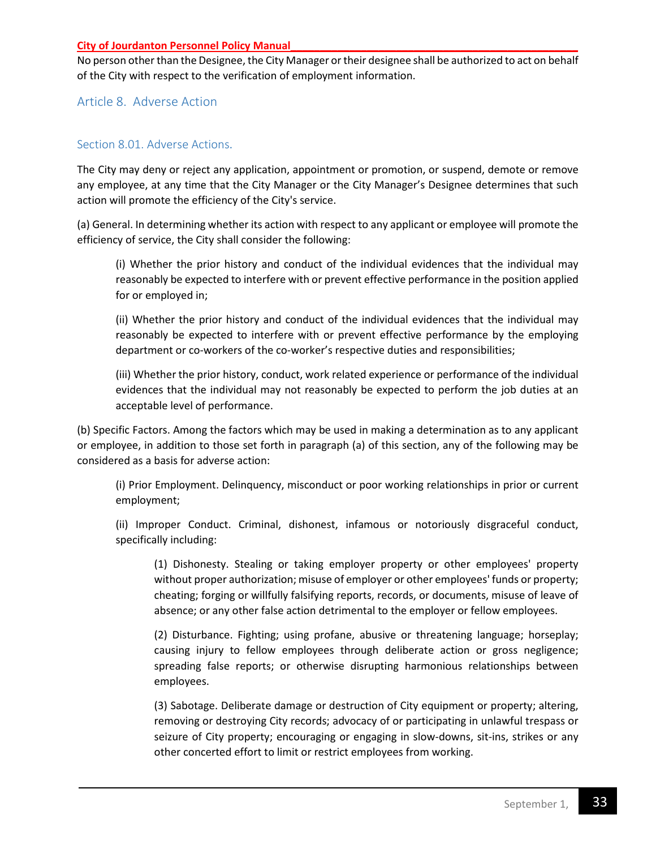No person other than the Designee, the City Manager or their designee shall be authorized to act on behalf of the City with respect to the verification of employment information.

## <span id="page-32-1"></span><span id="page-32-0"></span>Article 8. Adverse Action

## Section 8.01. Adverse Actions.

The City may deny or reject any application, appointment or promotion, or suspend, demote or remove any employee, at any time that the City Manager or the City Manager's Designee determines that such action will promote the efficiency of the City's service.

(a) General. In determining whether its action with respect to any applicant or employee will promote the efficiency of service, the City shall consider the following:

(i) Whether the prior history and conduct of the individual evidences that the individual may reasonably be expected to interfere with or prevent effective performance in the position applied for or employed in;

(ii) Whether the prior history and conduct of the individual evidences that the individual may reasonably be expected to interfere with or prevent effective performance by the employing department or co-workers of the co-worker's respective duties and responsibilities;

(iii) Whether the prior history, conduct, work related experience or performance of the individual evidences that the individual may not reasonably be expected to perform the job duties at an acceptable level of performance.

(b) Specific Factors. Among the factors which may be used in making a determination as to any applicant or employee, in addition to those set forth in paragraph (a) of this section, any of the following may be considered as a basis for adverse action:

(i) Prior Employment. Delinquency, misconduct or poor working relationships in prior or current employment;

(ii) Improper Conduct. Criminal, dishonest, infamous or notoriously disgraceful conduct, specifically including:

(1) Dishonesty. Stealing or taking employer property or other employees' property without proper authorization; misuse of employer or other employees' funds or property; cheating; forging or willfully falsifying reports, records, or documents, misuse of leave of absence; or any other false action detrimental to the employer or fellow employees.

(2) Disturbance. Fighting; using profane, abusive or threatening language; horseplay; causing injury to fellow employees through deliberate action or gross negligence; spreading false reports; or otherwise disrupting harmonious relationships between employees.

(3) Sabotage. Deliberate damage or destruction of City equipment or property; altering, removing or destroying City records; advocacy of or participating in unlawful trespass or seizure of City property; encouraging or engaging in slow-downs, sit-ins, strikes or any other concerted effort to limit or restrict employees from working.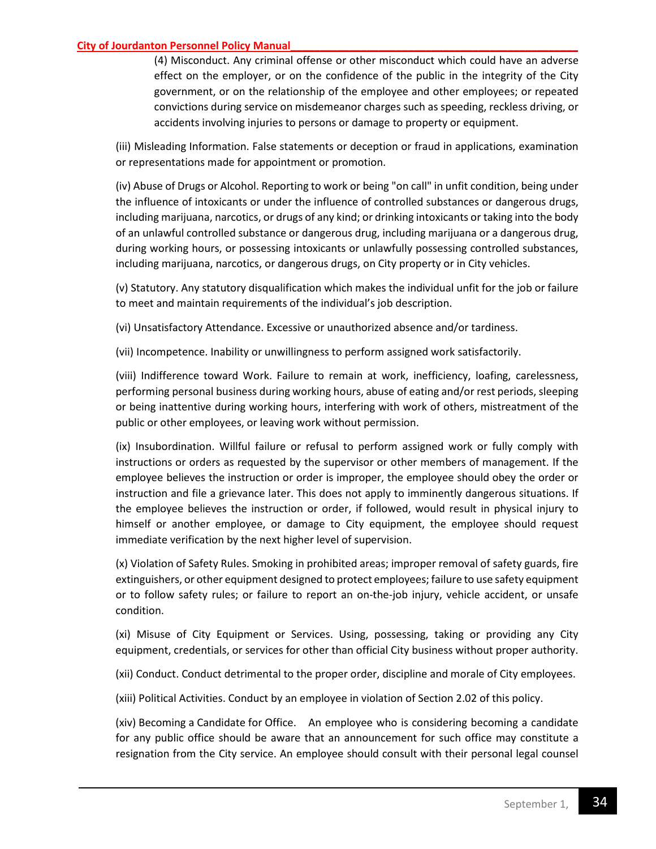(4) Misconduct. Any criminal offense or other misconduct which could have an adverse effect on the employer, or on the confidence of the public in the integrity of the City government, or on the relationship of the employee and other employees; or repeated convictions during service on misdemeanor charges such as speeding, reckless driving, or accidents involving injuries to persons or damage to property or equipment.

(iii) Misleading Information. False statements or deception or fraud in applications, examination or representations made for appointment or promotion.

(iv) Abuse of Drugs or Alcohol. Reporting to work or being "on call" in unfit condition, being under the influence of intoxicants or under the influence of controlled substances or dangerous drugs, including marijuana, narcotics, or drugs of any kind; or drinking intoxicants or taking into the body of an unlawful controlled substance or dangerous drug, including marijuana or a dangerous drug, during working hours, or possessing intoxicants or unlawfully possessing controlled substances, including marijuana, narcotics, or dangerous drugs, on City property or in City vehicles.

(v) Statutory. Any statutory disqualification which makes the individual unfit for the job or failure to meet and maintain requirements of the individual's job description.

(vi) Unsatisfactory Attendance. Excessive or unauthorized absence and/or tardiness.

(vii) Incompetence. Inability or unwillingness to perform assigned work satisfactorily.

(viii) Indifference toward Work. Failure to remain at work, inefficiency, loafing, carelessness, performing personal business during working hours, abuse of eating and/or rest periods, sleeping or being inattentive during working hours, interfering with work of others, mistreatment of the public or other employees, or leaving work without permission.

(ix) Insubordination. Willful failure or refusal to perform assigned work or fully comply with instructions or orders as requested by the supervisor or other members of management. If the employee believes the instruction or order is improper, the employee should obey the order or instruction and file a grievance later. This does not apply to imminently dangerous situations. If the employee believes the instruction or order, if followed, would result in physical injury to himself or another employee, or damage to City equipment, the employee should request immediate verification by the next higher level of supervision.

(x) Violation of Safety Rules. Smoking in prohibited areas; improper removal of safety guards, fire extinguishers, or other equipment designed to protect employees; failure to use safety equipment or to follow safety rules; or failure to report an on-the-job injury, vehicle accident, or unsafe condition.

(xi) Misuse of City Equipment or Services. Using, possessing, taking or providing any City equipment, credentials, or services for other than official City business without proper authority.

(xii) Conduct. Conduct detrimental to the proper order, discipline and morale of City employees.

(xiii) Political Activities. Conduct by an employee in violation of Section 2.02 of this policy.

(xiv) Becoming a Candidate for Office. An employee who is considering becoming a candidate for any public office should be aware that an announcement for such office may constitute a resignation from the City service. An employee should consult with their personal legal counsel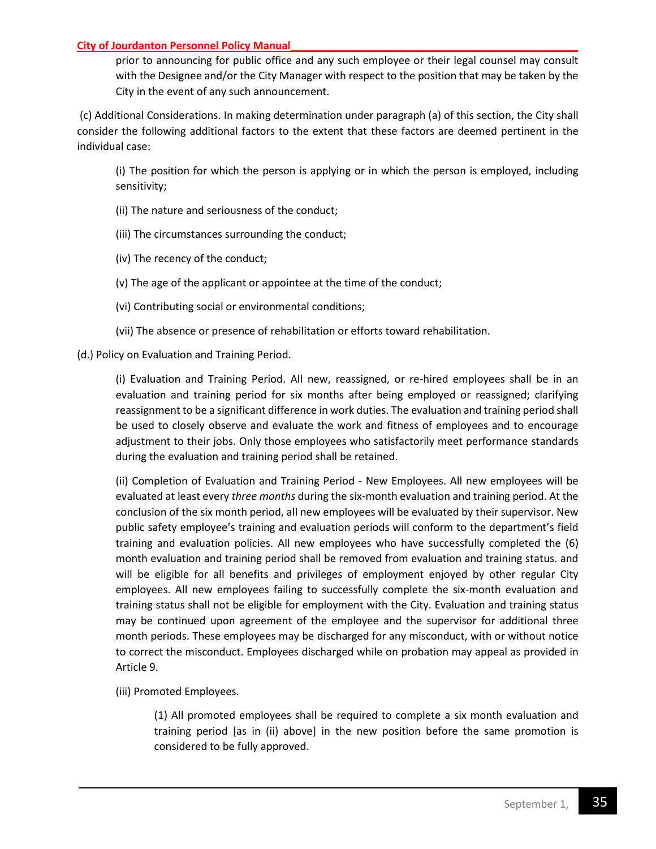prior to announcing for public office and any such employee or their legal counsel may consult with the Designee and/or the City Manager with respect to the position that may be taken by the City in the event of any such announcement.

(c) Additional Considerations. In making determination under paragraph (a) of this section, the City shall consider the following additional factors to the extent that these factors are deemed pertinent in the individual case:

(i) The position for which the person is applying or in which the person is employed, including sensitivity;

- (ii) The nature and seriousness of the conduct;
- (iii) The circumstances surrounding the conduct;
- (iv) The recency of the conduct;
- (v) The age of the applicant or appointee at the time of the conduct;
- (vi) Contributing social or environmental conditions;
- (vii) The absence or presence of rehabilitation or efforts toward rehabilitation.

(d.) Policy on Evaluation and Training Period.

(i) Evaluation and Training Period. All new, reassigned, or re-hired employees shall be in an evaluation and training period for six months after being employed or reassigned; clarifying reassignment to be a significant difference in work duties. The evaluation and training period shall be used to closely observe and evaluate the work and fitness of employees and to encourage adjustment to their jobs. Only those employees who satisfactorily meet performance standards during the evaluation and training period shall be retained.

(ii) Completion of Evaluation and Training Period - New Employees. All new employees will be evaluated at least every *three months* during the six-month evaluation and training period. At the conclusion of the six month period, all new employees will be evaluated by their supervisor. New public safety employee's training and evaluation periods will conform to the department's field training and evaluation policies. All new employees who have successfully completed the (6) month evaluation and training period shall be removed from evaluation and training status. and will be eligible for all benefits and privileges of employment enjoyed by other regular City employees. All new employees failing to successfully complete the six-month evaluation and training status shall not be eligible for employment with the City. Evaluation and training status may be continued upon agreement of the employee and the supervisor for additional three month periods. These employees may be discharged for any misconduct, with or without notice to correct the misconduct. Employees discharged while on probation may appeal as provided in Article 9.

(iii) Promoted Employees.

(1) All promoted employees shall be required to complete a six month evaluation and training period [as in (ii) above] in the new position before the same promotion is considered to be fully approved.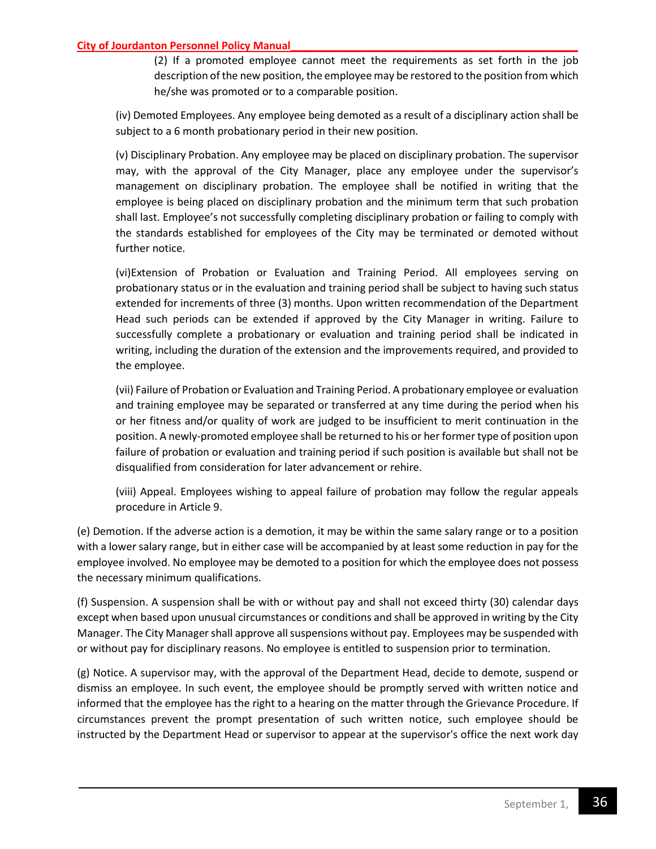(2) If a promoted employee cannot meet the requirements as set forth in the job description of the new position, the employee may be restored to the position from which he/she was promoted or to a comparable position.

(iv) Demoted Employees. Any employee being demoted as a result of a disciplinary action shall be subject to a 6 month probationary period in their new position.

(v) Disciplinary Probation. Any employee may be placed on disciplinary probation. The supervisor may, with the approval of the City Manager, place any employee under the supervisor's management on disciplinary probation. The employee shall be notified in writing that the employee is being placed on disciplinary probation and the minimum term that such probation shall last. Employee's not successfully completing disciplinary probation or failing to comply with the standards established for employees of the City may be terminated or demoted without further notice.

(vi)Extension of Probation or Evaluation and Training Period. All employees serving on probationary status or in the evaluation and training period shall be subject to having such status extended for increments of three (3) months. Upon written recommendation of the Department Head such periods can be extended if approved by the City Manager in writing. Failure to successfully complete a probationary or evaluation and training period shall be indicated in writing, including the duration of the extension and the improvements required, and provided to the employee.

(vii) Failure of Probation or Evaluation and Training Period. A probationary employee or evaluation and training employee may be separated or transferred at any time during the period when his or her fitness and/or quality of work are judged to be insufficient to merit continuation in the position. A newly-promoted employee shall be returned to his or her former type of position upon failure of probation or evaluation and training period if such position is available but shall not be disqualified from consideration for later advancement or rehire.

(viii) Appeal. Employees wishing to appeal failure of probation may follow the regular appeals procedure in Article 9.

(e) Demotion. If the adverse action is a demotion, it may be within the same salary range or to a position with a lower salary range, but in either case will be accompanied by at least some reduction in pay for the employee involved. No employee may be demoted to a position for which the employee does not possess the necessary minimum qualifications.

(f) Suspension. A suspension shall be with or without pay and shall not exceed thirty (30) calendar days except when based upon unusual circumstances or conditions and shall be approved in writing by the City Manager. The City Manager shall approve all suspensions without pay. Employees may be suspended with or without pay for disciplinary reasons. No employee is entitled to suspension prior to termination.

(g) Notice. A supervisor may, with the approval of the Department Head, decide to demote, suspend or dismiss an employee. In such event, the employee should be promptly served with written notice and informed that the employee has the right to a hearing on the matter through the Grievance Procedure. If circumstances prevent the prompt presentation of such written notice, such employee should be instructed by the Department Head or supervisor to appear at the supervisor's office the next work day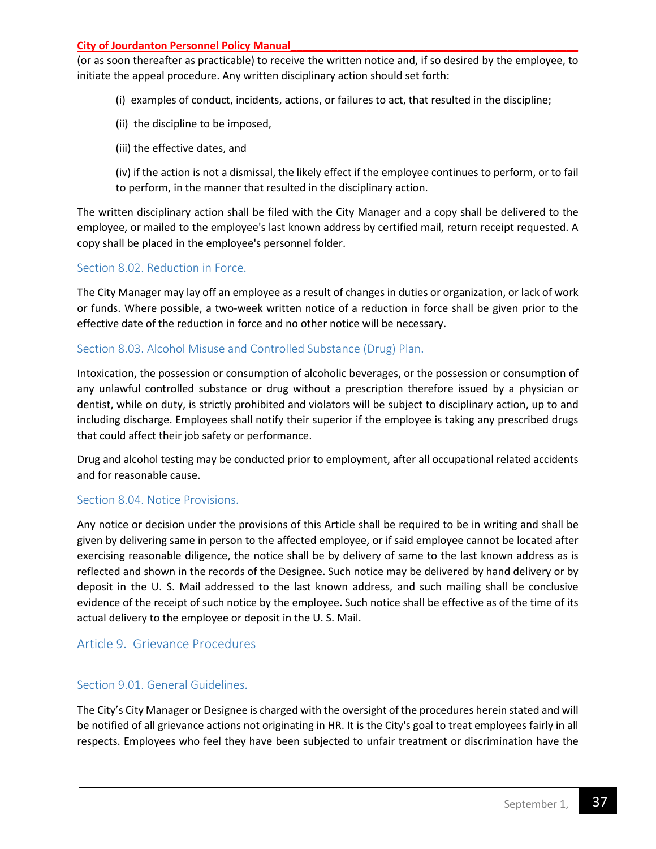(or as soon thereafter as practicable) to receive the written notice and, if so desired by the employee, to initiate the appeal procedure. Any written disciplinary action should set forth:

- (i) examples of conduct, incidents, actions, or failures to act, that resulted in the discipline;
- (ii) the discipline to be imposed,
- (iii) the effective dates, and
- (iv) if the action is not a dismissal, the likely effect if the employee continues to perform, or to fail to perform, in the manner that resulted in the disciplinary action.

The written disciplinary action shall be filed with the City Manager and a copy shall be delivered to the employee, or mailed to the employee's last known address by certified mail, return receipt requested. A copy shall be placed in the employee's personnel folder.

## <span id="page-36-0"></span>Section 8.02. Reduction in Force.

The City Manager may lay off an employee as a result of changes in duties or organization, or lack of work or funds. Where possible, a two-week written notice of a reduction in force shall be given prior to the effective date of the reduction in force and no other notice will be necessary.

## <span id="page-36-1"></span>Section 8.03. Alcohol Misuse and Controlled Substance (Drug) Plan.

Intoxication, the possession or consumption of alcoholic beverages, or the possession or consumption of any unlawful controlled substance or drug without a prescription therefore issued by a physician or dentist, while on duty, is strictly prohibited and violators will be subject to disciplinary action, up to and including discharge. Employees shall notify their superior if the employee is taking any prescribed drugs that could affect their job safety or performance.

Drug and alcohol testing may be conducted prior to employment, after all occupational related accidents and for reasonable cause.

#### <span id="page-36-2"></span>Section 8.04. Notice Provisions.

Any notice or decision under the provisions of this Article shall be required to be in writing and shall be given by delivering same in person to the affected employee, or if said employee cannot be located after exercising reasonable diligence, the notice shall be by delivery of same to the last known address as is reflected and shown in the records of the Designee. Such notice may be delivered by hand delivery or by deposit in the U. S. Mail addressed to the last known address, and such mailing shall be conclusive evidence of the receipt of such notice by the employee. Such notice shall be effective as of the time of its actual delivery to the employee or deposit in the U. S. Mail.

## <span id="page-36-3"></span>Article 9. Grievance Procedures

## <span id="page-36-4"></span>Section 9.01. General Guidelines.

The City's City Manager or Designee is charged with the oversight of the procedures herein stated and will be notified of all grievance actions not originating in HR. It is the City's goal to treat employees fairly in all respects. Employees who feel they have been subjected to unfair treatment or discrimination have the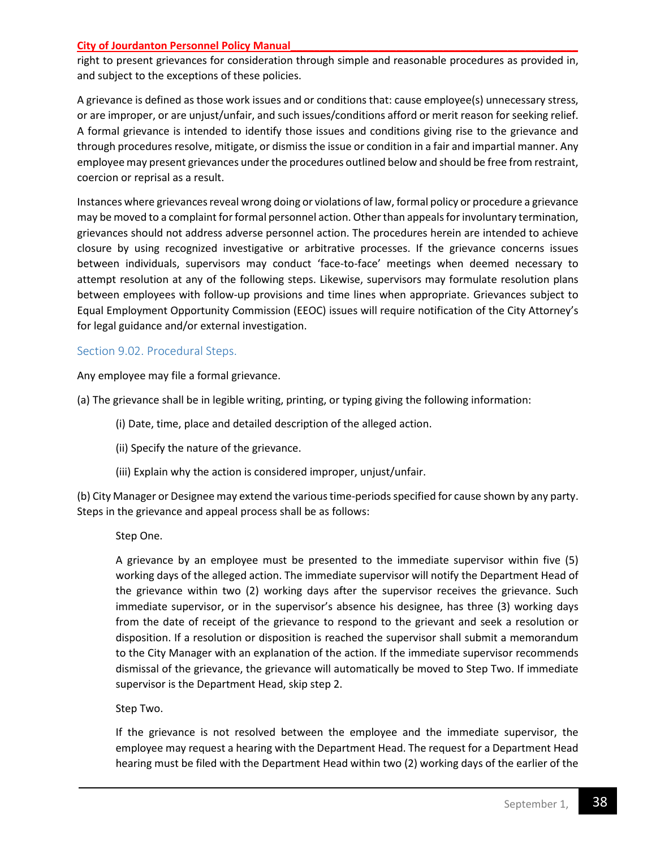right to present grievances for consideration through simple and reasonable procedures as provided in, and subject to the exceptions of these policies.

A grievance is defined as those work issues and or conditions that: cause employee(s) unnecessary stress, or are improper, or are unjust/unfair, and such issues/conditions afford or merit reason for seeking relief. A formal grievance is intended to identify those issues and conditions giving rise to the grievance and through procedures resolve, mitigate, or dismiss the issue or condition in a fair and impartial manner. Any employee may present grievances under the procedures outlined below and should be free from restraint, coercion or reprisal as a result.

Instances where grievances reveal wrong doing or violations of law, formal policy or procedure a grievance may be moved to a complaint for formal personnel action. Other than appeals for involuntary termination, grievances should not address adverse personnel action. The procedures herein are intended to achieve closure by using recognized investigative or arbitrative processes. If the grievance concerns issues between individuals, supervisors may conduct 'face-to-face' meetings when deemed necessary to attempt resolution at any of the following steps. Likewise, supervisors may formulate resolution plans between employees with follow-up provisions and time lines when appropriate. Grievances subject to Equal Employment Opportunity Commission (EEOC) issues will require notification of the City Attorney's for legal guidance and/or external investigation.

## <span id="page-37-0"></span>Section 9.02. Procedural Steps.

Any employee may file a formal grievance.

(a) The grievance shall be in legible writing, printing, or typing giving the following information:

- (i) Date, time, place and detailed description of the alleged action.
- (ii) Specify the nature of the grievance.
- (iii) Explain why the action is considered improper, unjust/unfair.

(b) City Manager or Designee may extend the various time-periods specified for cause shown by any party. Steps in the grievance and appeal process shall be as follows:

Step One.

A grievance by an employee must be presented to the immediate supervisor within five (5) working days of the alleged action. The immediate supervisor will notify the Department Head of the grievance within two (2) working days after the supervisor receives the grievance. Such immediate supervisor, or in the supervisor's absence his designee, has three (3) working days from the date of receipt of the grievance to respond to the grievant and seek a resolution or disposition. If a resolution or disposition is reached the supervisor shall submit a memorandum to the City Manager with an explanation of the action. If the immediate supervisor recommends dismissal of the grievance, the grievance will automatically be moved to Step Two. If immediate supervisor is the Department Head, skip step 2.

Step Two.

If the grievance is not resolved between the employee and the immediate supervisor, the employee may request a hearing with the Department Head. The request for a Department Head hearing must be filed with the Department Head within two (2) working days of the earlier of the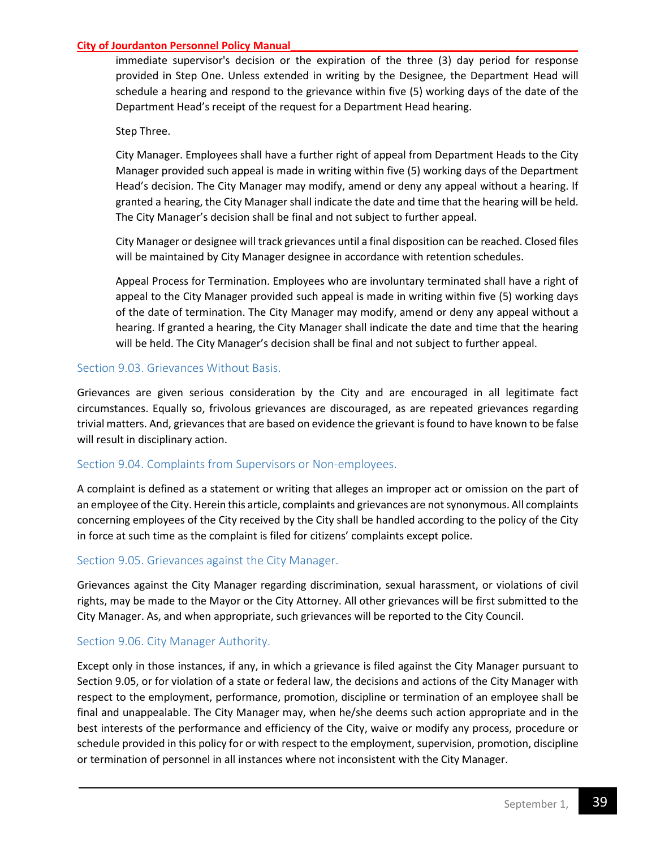immediate supervisor's decision or the expiration of the three (3) day period for response provided in Step One. Unless extended in writing by the Designee, the Department Head will schedule a hearing and respond to the grievance within five (5) working days of the date of the Department Head's receipt of the request for a Department Head hearing.

## Step Three.

City Manager. Employees shall have a further right of appeal from Department Heads to the City Manager provided such appeal is made in writing within five (5) working days of the Department Head's decision. The City Manager may modify, amend or deny any appeal without a hearing. If granted a hearing, the City Manager shall indicate the date and time that the hearing will be held. The City Manager's decision shall be final and not subject to further appeal.

City Manager or designee will track grievances until a final disposition can be reached. Closed files will be maintained by City Manager designee in accordance with retention schedules.

Appeal Process for Termination. Employees who are involuntary terminated shall have a right of appeal to the City Manager provided such appeal is made in writing within five (5) working days of the date of termination. The City Manager may modify, amend or deny any appeal without a hearing. If granted a hearing, the City Manager shall indicate the date and time that the hearing will be held. The City Manager's decision shall be final and not subject to further appeal.

## <span id="page-38-0"></span>Section 9.03. Grievances Without Basis.

Grievances are given serious consideration by the City and are encouraged in all legitimate fact circumstances. Equally so, frivolous grievances are discouraged, as are repeated grievances regarding trivial matters. And, grievances that are based on evidence the grievant is found to have known to be false will result in disciplinary action.

#### <span id="page-38-1"></span>Section 9.04. Complaints from Supervisors or Non-employees.

A complaint is defined as a statement or writing that alleges an improper act or omission on the part of an employee of the City. Herein this article, complaints and grievances are not synonymous. All complaints concerning employees of the City received by the City shall be handled according to the policy of the City in force at such time as the complaint is filed for citizens' complaints except police.

## <span id="page-38-2"></span>Section 9.05. Grievances against the City Manager.

Grievances against the City Manager regarding discrimination, sexual harassment, or violations of civil rights, may be made to the Mayor or the City Attorney. All other grievances will be first submitted to the City Manager. As, and when appropriate, such grievances will be reported to the City Council.

#### <span id="page-38-3"></span>Section 9.06. City Manager Authority.

Except only in those instances, if any, in which a grievance is filed against the City Manager pursuant to Section 9.05, or for violation of a state or federal law, the decisions and actions of the City Manager with respect to the employment, performance, promotion, discipline or termination of an employee shall be final and unappealable. The City Manager may, when he/she deems such action appropriate and in the best interests of the performance and efficiency of the City, waive or modify any process, procedure or schedule provided in this policy for or with respect to the employment, supervision, promotion, discipline or termination of personnel in all instances where not inconsistent with the City Manager.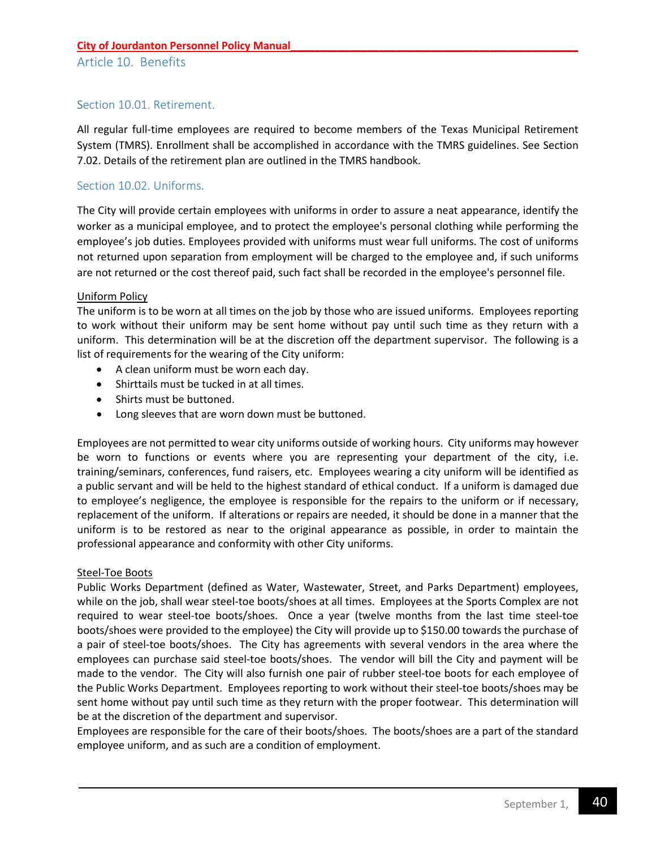## <span id="page-39-1"></span><span id="page-39-0"></span>Section 10.01. Retirement.

All regular full-time employees are required to become members of the Texas Municipal Retirement System (TMRS). Enrollment shall be accomplished in accordance with the TMRS guidelines. See Section 7.02. Details of the retirement plan are outlined in the TMRS handbook.

## <span id="page-39-2"></span>Section 10.02. Uniforms.

The City will provide certain employees with uniforms in order to assure a neat appearance, identify the worker as a municipal employee, and to protect the employee's personal clothing while performing the employee's job duties. Employees provided with uniforms must wear full uniforms. The cost of uniforms not returned upon separation from employment will be charged to the employee and, if such uniforms are not returned or the cost thereof paid, such fact shall be recorded in the employee's personnel file.

#### Uniform Policy

The uniform is to be worn at all times on the job by those who are issued uniforms. Employees reporting to work without their uniform may be sent home without pay until such time as they return with a uniform. This determination will be at the discretion off the department supervisor. The following is a list of requirements for the wearing of the City uniform:

- A clean uniform must be worn each day.
- Shirttails must be tucked in at all times.
- Shirts must be buttoned.
- Long sleeves that are worn down must be buttoned.

Employees are not permitted to wear city uniforms outside of working hours. City uniforms may however be worn to functions or events where you are representing your department of the city, i.e. training/seminars, conferences, fund raisers, etc. Employees wearing a city uniform will be identified as a public servant and will be held to the highest standard of ethical conduct. If a uniform is damaged due to employee's negligence, the employee is responsible for the repairs to the uniform or if necessary, replacement of the uniform. If alterations or repairs are needed, it should be done in a manner that the uniform is to be restored as near to the original appearance as possible, in order to maintain the professional appearance and conformity with other City uniforms.

#### Steel-Toe Boots

Public Works Department (defined as Water, Wastewater, Street, and Parks Department) employees, while on the job, shall wear steel-toe boots/shoes at all times. Employees at the Sports Complex are not required to wear steel-toe boots/shoes. Once a year (twelve months from the last time steel-toe boots/shoes were provided to the employee) the City will provide up to \$150.00 towards the purchase of a pair of steel-toe boots/shoes. The City has agreements with several vendors in the area where the employees can purchase said steel-toe boots/shoes. The vendor will bill the City and payment will be made to the vendor. The City will also furnish one pair of rubber steel-toe boots for each employee of the Public Works Department. Employees reporting to work without their steel-toe boots/shoes may be sent home without pay until such time as they return with the proper footwear. This determination will be at the discretion of the department and supervisor.

<span id="page-39-3"></span>Employees are responsible for the care of their boots/shoes. The boots/shoes are a part of the standard employee uniform, and as such are a condition of employment.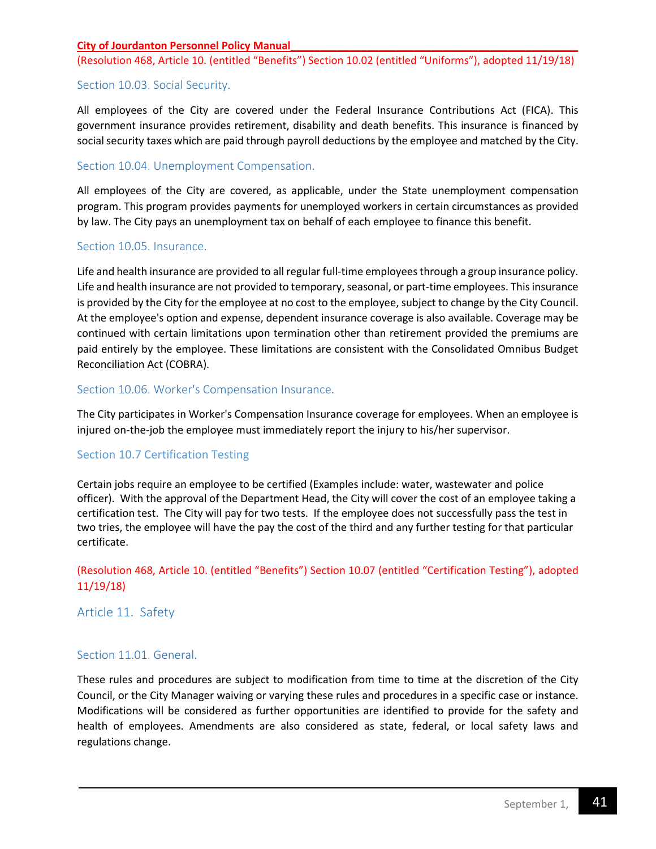(Resolution 468, Article 10. (entitled "Benefits") Section 10.02 (entitled "Uniforms"), adopted 11/19/18)

## Section 10.03. Social Security.

All employees of the City are covered under the Federal Insurance Contributions Act (FICA). This government insurance provides retirement, disability and death benefits. This insurance is financed by social security taxes which are paid through payroll deductions by the employee and matched by the City.

## <span id="page-40-0"></span>Section 10.04. Unemployment Compensation.

All employees of the City are covered, as applicable, under the State unemployment compensation program. This program provides payments for unemployed workers in certain circumstances as provided by law. The City pays an unemployment tax on behalf of each employee to finance this benefit.

## <span id="page-40-1"></span>Section 10.05. Insurance.

Life and health insurance are provided to all regular full-time employees through a group insurance policy. Life and health insurance are not provided to temporary, seasonal, or part-time employees. This insurance is provided by the City for the employee at no cost to the employee, subject to change by the City Council. At the employee's option and expense, dependent insurance coverage is also available. Coverage may be continued with certain limitations upon termination other than retirement provided the premiums are paid entirely by the employee. These limitations are consistent with the Consolidated Omnibus Budget Reconciliation Act (COBRA).

## <span id="page-40-2"></span>Section 10.06. Worker's Compensation Insurance.

The City participates in Worker's Compensation Insurance coverage for employees. When an employee is injured on-the-job the employee must immediately report the injury to his/her supervisor.

## Section 10.7 Certification Testing

Certain jobs require an employee to be certified (Examples include: water, wastewater and police officer). With the approval of the Department Head, the City will cover the cost of an employee taking a certification test. The City will pay for two tests. If the employee does not successfully pass the test in two tries, the employee will have the pay the cost of the third and any further testing for that particular certificate.

## (Resolution 468, Article 10. (entitled "Benefits") Section 10.07 (entitled "Certification Testing"), adopted 11/19/18)

<span id="page-40-4"></span><span id="page-40-3"></span>Article 11. Safety

## Section 11.01. General.

These rules and procedures are subject to modification from time to time at the discretion of the City Council, or the City Manager waiving or varying these rules and procedures in a specific case or instance. Modifications will be considered as further opportunities are identified to provide for the safety and health of employees. Amendments are also considered as state, federal, or local safety laws and regulations change.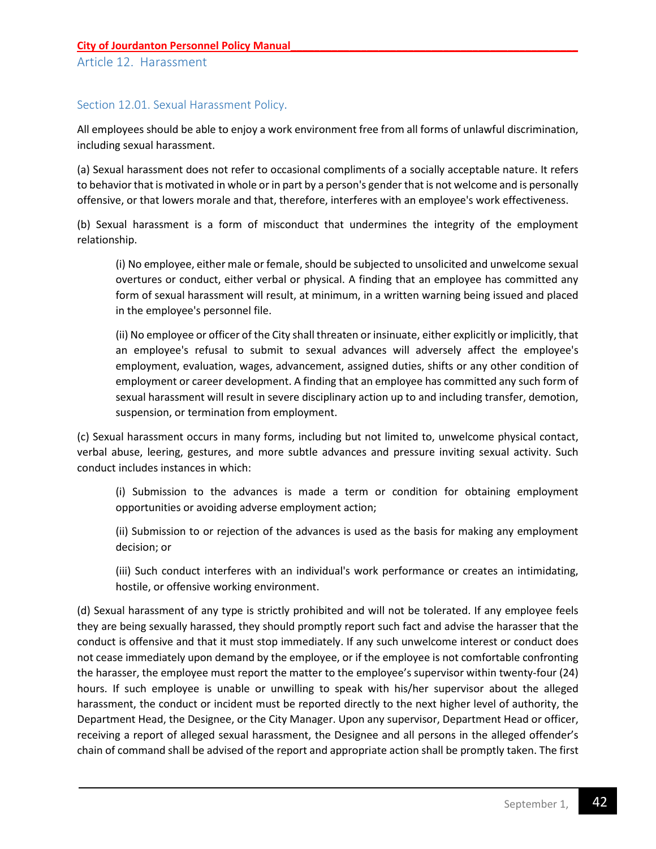## <span id="page-41-1"></span><span id="page-41-0"></span>Section 12.01. Sexual Harassment Policy.

All employees should be able to enjoy a work environment free from all forms of unlawful discrimination, including sexual harassment.

(a) Sexual harassment does not refer to occasional compliments of a socially acceptable nature. It refers to behavior that is motivated in whole or in part by a person's gender that is not welcome and is personally offensive, or that lowers morale and that, therefore, interferes with an employee's work effectiveness.

(b) Sexual harassment is a form of misconduct that undermines the integrity of the employment relationship.

(i) No employee, either male or female, should be subjected to unsolicited and unwelcome sexual overtures or conduct, either verbal or physical. A finding that an employee has committed any form of sexual harassment will result, at minimum, in a written warning being issued and placed in the employee's personnel file.

(ii) No employee or officer of the City shall threaten or insinuate, either explicitly or implicitly, that an employee's refusal to submit to sexual advances will adversely affect the employee's employment, evaluation, wages, advancement, assigned duties, shifts or any other condition of employment or career development. A finding that an employee has committed any such form of sexual harassment will result in severe disciplinary action up to and including transfer, demotion, suspension, or termination from employment.

(c) Sexual harassment occurs in many forms, including but not limited to, unwelcome physical contact, verbal abuse, leering, gestures, and more subtle advances and pressure inviting sexual activity. Such conduct includes instances in which:

(i) Submission to the advances is made a term or condition for obtaining employment opportunities or avoiding adverse employment action;

(ii) Submission to or rejection of the advances is used as the basis for making any employment decision; or

(iii) Such conduct interferes with an individual's work performance or creates an intimidating, hostile, or offensive working environment.

(d) Sexual harassment of any type is strictly prohibited and will not be tolerated. If any employee feels they are being sexually harassed, they should promptly report such fact and advise the harasser that the conduct is offensive and that it must stop immediately. If any such unwelcome interest or conduct does not cease immediately upon demand by the employee, or if the employee is not comfortable confronting the harasser, the employee must report the matter to the employee's supervisor within twenty-four (24) hours. If such employee is unable or unwilling to speak with his/her supervisor about the alleged harassment, the conduct or incident must be reported directly to the next higher level of authority, the Department Head, the Designee, or the City Manager. Upon any supervisor, Department Head or officer, receiving a report of alleged sexual harassment, the Designee and all persons in the alleged offender's chain of command shall be advised of the report and appropriate action shall be promptly taken. The first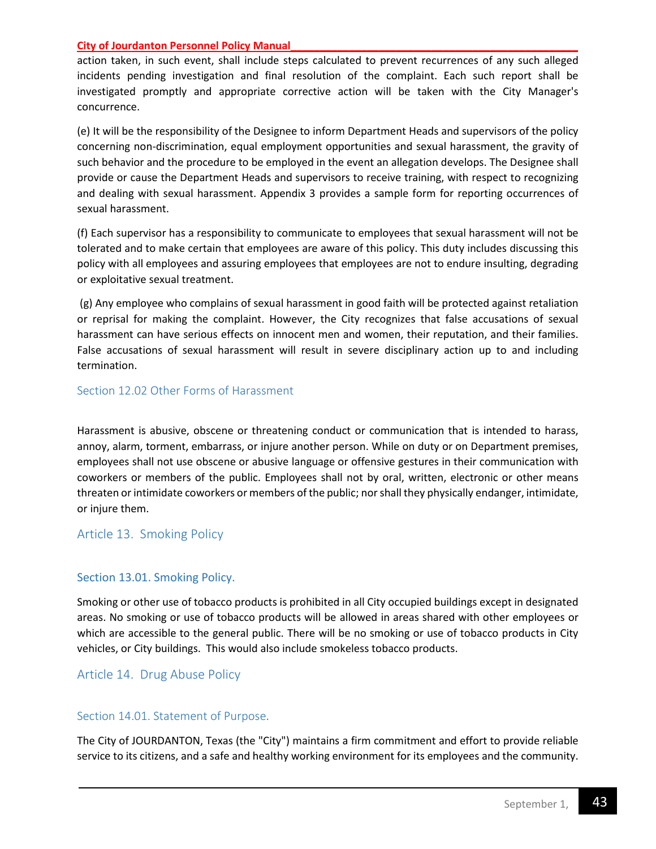action taken, in such event, shall include steps calculated to prevent recurrences of any such alleged incidents pending investigation and final resolution of the complaint. Each such report shall be investigated promptly and appropriate corrective action will be taken with the City Manager's concurrence.

(e) It will be the responsibility of the Designee to inform Department Heads and supervisors of the policy concerning non-discrimination, equal employment opportunities and sexual harassment, the gravity of such behavior and the procedure to be employed in the event an allegation develops. The Designee shall provide or cause the Department Heads and supervisors to receive training, with respect to recognizing and dealing with sexual harassment. Appendix 3 provides a sample form for reporting occurrences of sexual harassment.

(f) Each supervisor has a responsibility to communicate to employees that sexual harassment will not be tolerated and to make certain that employees are aware of this policy. This duty includes discussing this policy with all employees and assuring employees that employees are not to endure insulting, degrading or exploitative sexual treatment.

(g) Any employee who complains of sexual harassment in good faith will be protected against retaliation or reprisal for making the complaint. However, the City recognizes that false accusations of sexual harassment can have serious effects on innocent men and women, their reputation, and their families. False accusations of sexual harassment will result in severe disciplinary action up to and including termination.

#### <span id="page-42-0"></span>Section 12.02 Other Forms of Harassment

Harassment is abusive, obscene or threatening conduct or communication that is intended to harass, annoy, alarm, torment, embarrass, or injure another person. While on duty or on Department premises, employees shall not use obscene or abusive language or offensive gestures in their communication with coworkers or members of the public. Employees shall not by oral, written, electronic or other means threaten or intimidate coworkers or members of the public; nor shall they physically endanger, intimidate, or injure them.

#### <span id="page-42-1"></span>Article 13. Smoking Policy

#### <span id="page-42-2"></span>Section 13.01. Smoking Policy.

Smoking or other use of tobacco products is prohibited in all City occupied buildings except in designated areas. No smoking or use of tobacco products will be allowed in areas shared with other employees or which are accessible to the general public. There will be no smoking or use of tobacco products in City vehicles, or City buildings. This would also include smokeless tobacco products.

## <span id="page-42-3"></span>Article 14. Drug Abuse Policy

#### <span id="page-42-4"></span>Section 14.01. Statement of Purpose.

The City of JOURDANTON, Texas (the "City") maintains a firm commitment and effort to provide reliable service to its citizens, and a safe and healthy working environment for its employees and the community.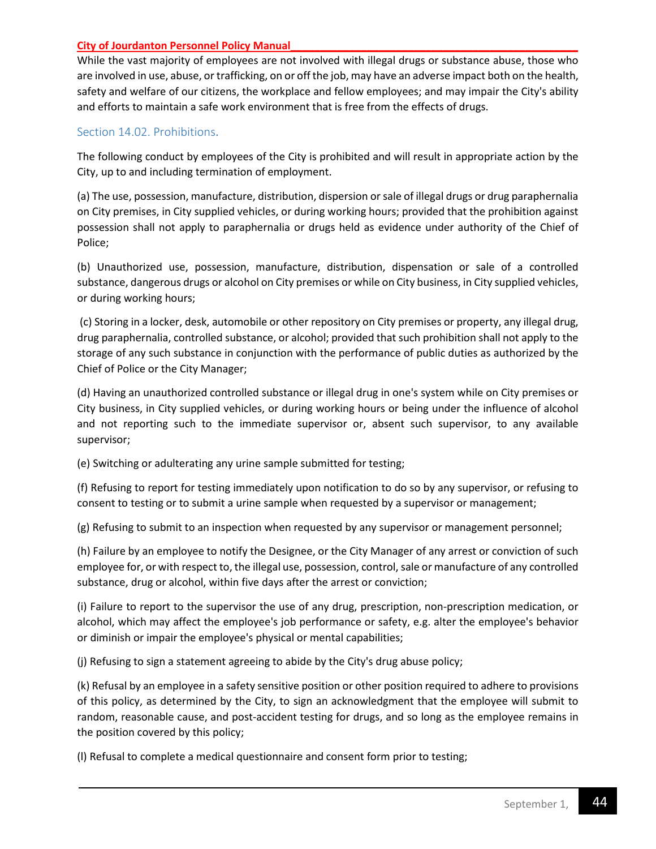While the vast majority of employees are not involved with illegal drugs or substance abuse, those who are involved in use, abuse, or trafficking, on or off the job, may have an adverse impact both on the health, safety and welfare of our citizens, the workplace and fellow employees; and may impair the City's ability and efforts to maintain a safe work environment that is free from the effects of drugs.

## <span id="page-43-0"></span>Section 14.02. Prohibitions.

The following conduct by employees of the City is prohibited and will result in appropriate action by the City, up to and including termination of employment.

(a) The use, possession, manufacture, distribution, dispersion or sale of illegal drugs or drug paraphernalia on City premises, in City supplied vehicles, or during working hours; provided that the prohibition against possession shall not apply to paraphernalia or drugs held as evidence under authority of the Chief of Police;

(b) Unauthorized use, possession, manufacture, distribution, dispensation or sale of a controlled substance, dangerous drugs or alcohol on City premises or while on City business, in City supplied vehicles, or during working hours;

(c) Storing in a locker, desk, automobile or other repository on City premises or property, any illegal drug, drug paraphernalia, controlled substance, or alcohol; provided that such prohibition shall not apply to the storage of any such substance in conjunction with the performance of public duties as authorized by the Chief of Police or the City Manager;

(d) Having an unauthorized controlled substance or illegal drug in one's system while on City premises or City business, in City supplied vehicles, or during working hours or being under the influence of alcohol and not reporting such to the immediate supervisor or, absent such supervisor, to any available supervisor;

(e) Switching or adulterating any urine sample submitted for testing;

(f) Refusing to report for testing immediately upon notification to do so by any supervisor, or refusing to consent to testing or to submit a urine sample when requested by a supervisor or management;

(g) Refusing to submit to an inspection when requested by any supervisor or management personnel;

(h) Failure by an employee to notify the Designee, or the City Manager of any arrest or conviction of such employee for, or with respect to, the illegal use, possession, control, sale or manufacture of any controlled substance, drug or alcohol, within five days after the arrest or conviction;

(i) Failure to report to the supervisor the use of any drug, prescription, non-prescription medication, or alcohol, which may affect the employee's job performance or safety, e.g. alter the employee's behavior or diminish or impair the employee's physical or mental capabilities;

(j) Refusing to sign a statement agreeing to abide by the City's drug abuse policy;

(k) Refusal by an employee in a safety sensitive position or other position required to adhere to provisions of this policy, as determined by the City, to sign an acknowledgment that the employee will submit to random, reasonable cause, and post-accident testing for drugs, and so long as the employee remains in the position covered by this policy;

(l) Refusal to complete a medical questionnaire and consent form prior to testing;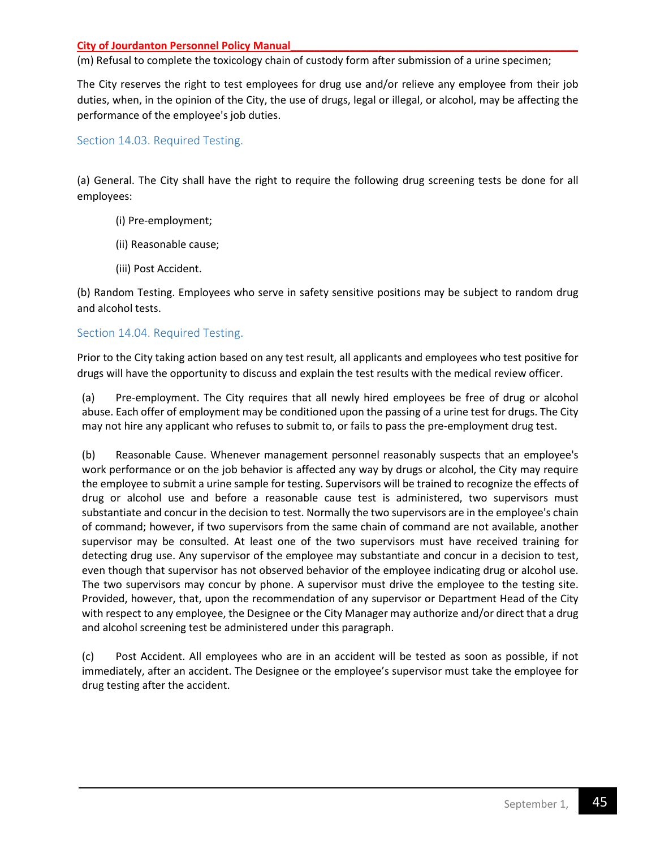(m) Refusal to complete the toxicology chain of custody form after submission of a urine specimen;

The City reserves the right to test employees for drug use and/or relieve any employee from their job duties, when, in the opinion of the City, the use of drugs, legal or illegal, or alcohol, may be affecting the performance of the employee's job duties.

## <span id="page-44-0"></span>Section 14.03. Required Testing.

(a) General. The City shall have the right to require the following drug screening tests be done for all employees:

- (i) Pre-employment;
- (ii) Reasonable cause;
- (iii) Post Accident.

(b) Random Testing. Employees who serve in safety sensitive positions may be subject to random drug and alcohol tests.

## <span id="page-44-1"></span>Section 14.04. Required Testing.

Prior to the City taking action based on any test result, all applicants and employees who test positive for drugs will have the opportunity to discuss and explain the test results with the medical review officer.

(a) Pre-employment. The City requires that all newly hired employees be free of drug or alcohol abuse. Each offer of employment may be conditioned upon the passing of a urine test for drugs. The City may not hire any applicant who refuses to submit to, or fails to pass the pre-employment drug test.

(b) Reasonable Cause. Whenever management personnel reasonably suspects that an employee's work performance or on the job behavior is affected any way by drugs or alcohol, the City may require the employee to submit a urine sample for testing. Supervisors will be trained to recognize the effects of drug or alcohol use and before a reasonable cause test is administered, two supervisors must substantiate and concur in the decision to test. Normally the two supervisors are in the employee's chain of command; however, if two supervisors from the same chain of command are not available, another supervisor may be consulted. At least one of the two supervisors must have received training for detecting drug use. Any supervisor of the employee may substantiate and concur in a decision to test, even though that supervisor has not observed behavior of the employee indicating drug or alcohol use. The two supervisors may concur by phone. A supervisor must drive the employee to the testing site. Provided, however, that, upon the recommendation of any supervisor or Department Head of the City with respect to any employee, the Designee or the City Manager may authorize and/or direct that a drug and alcohol screening test be administered under this paragraph.

(c) Post Accident. All employees who are in an accident will be tested as soon as possible, if not immediately, after an accident. The Designee or the employee's supervisor must take the employee for drug testing after the accident.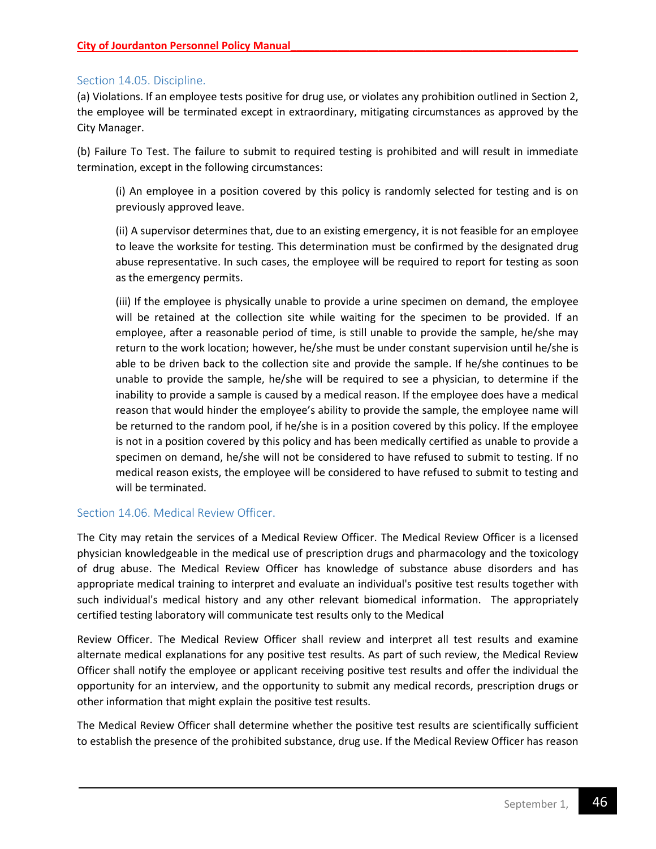## <span id="page-45-0"></span>Section 14.05. Discipline.

(a) Violations. If an employee tests positive for drug use, or violates any prohibition outlined in Section 2, the employee will be terminated except in extraordinary, mitigating circumstances as approved by the City Manager.

(b) Failure To Test. The failure to submit to required testing is prohibited and will result in immediate termination, except in the following circumstances:

(i) An employee in a position covered by this policy is randomly selected for testing and is on previously approved leave.

(ii) A supervisor determines that, due to an existing emergency, it is not feasible for an employee to leave the worksite for testing. This determination must be confirmed by the designated drug abuse representative. In such cases, the employee will be required to report for testing as soon as the emergency permits.

(iii) If the employee is physically unable to provide a urine specimen on demand, the employee will be retained at the collection site while waiting for the specimen to be provided. If an employee, after a reasonable period of time, is still unable to provide the sample, he/she may return to the work location; however, he/she must be under constant supervision until he/she is able to be driven back to the collection site and provide the sample. If he/she continues to be unable to provide the sample, he/she will be required to see a physician, to determine if the inability to provide a sample is caused by a medical reason. If the employee does have a medical reason that would hinder the employee's ability to provide the sample, the employee name will be returned to the random pool, if he/she is in a position covered by this policy. If the employee is not in a position covered by this policy and has been medically certified as unable to provide a specimen on demand, he/she will not be considered to have refused to submit to testing. If no medical reason exists, the employee will be considered to have refused to submit to testing and will be terminated.

## <span id="page-45-1"></span>Section 14.06. Medical Review Officer.

The City may retain the services of a Medical Review Officer. The Medical Review Officer is a licensed physician knowledgeable in the medical use of prescription drugs and pharmacology and the toxicology of drug abuse. The Medical Review Officer has knowledge of substance abuse disorders and has appropriate medical training to interpret and evaluate an individual's positive test results together with such individual's medical history and any other relevant biomedical information. The appropriately certified testing laboratory will communicate test results only to the Medical

Review Officer. The Medical Review Officer shall review and interpret all test results and examine alternate medical explanations for any positive test results. As part of such review, the Medical Review Officer shall notify the employee or applicant receiving positive test results and offer the individual the opportunity for an interview, and the opportunity to submit any medical records, prescription drugs or other information that might explain the positive test results.

The Medical Review Officer shall determine whether the positive test results are scientifically sufficient to establish the presence of the prohibited substance, drug use. If the Medical Review Officer has reason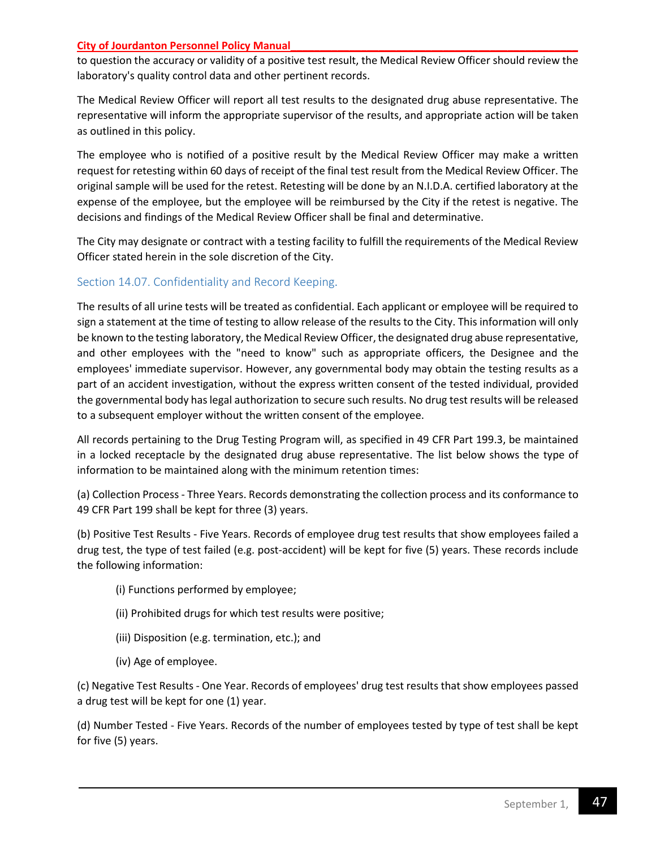to question the accuracy or validity of a positive test result, the Medical Review Officer should review the laboratory's quality control data and other pertinent records.

The Medical Review Officer will report all test results to the designated drug abuse representative. The representative will inform the appropriate supervisor of the results, and appropriate action will be taken as outlined in this policy.

The employee who is notified of a positive result by the Medical Review Officer may make a written request for retesting within 60 days of receipt of the final test result from the Medical Review Officer. The original sample will be used for the retest. Retesting will be done by an N.I.D.A. certified laboratory at the expense of the employee, but the employee will be reimbursed by the City if the retest is negative. The decisions and findings of the Medical Review Officer shall be final and determinative.

The City may designate or contract with a testing facility to fulfill the requirements of the Medical Review Officer stated herein in the sole discretion of the City.

## <span id="page-46-0"></span>Section 14.07. Confidentiality and Record Keeping.

The results of all urine tests will be treated as confidential. Each applicant or employee will be required to sign a statement at the time of testing to allow release of the results to the City. This information will only be known to the testing laboratory, the Medical Review Officer, the designated drug abuse representative, and other employees with the "need to know" such as appropriate officers, the Designee and the employees' immediate supervisor. However, any governmental body may obtain the testing results as a part of an accident investigation, without the express written consent of the tested individual, provided the governmental body has legal authorization to secure such results. No drug test results will be released to a subsequent employer without the written consent of the employee.

All records pertaining to the Drug Testing Program will, as specified in 49 CFR Part 199.3, be maintained in a locked receptacle by the designated drug abuse representative. The list below shows the type of information to be maintained along with the minimum retention times:

(a) Collection Process - Three Years. Records demonstrating the collection process and its conformance to 49 CFR Part 199 shall be kept for three (3) years.

(b) Positive Test Results - Five Years. Records of employee drug test results that show employees failed a drug test, the type of test failed (e.g. post-accident) will be kept for five (5) years. These records include the following information:

- (i) Functions performed by employee;
- (ii) Prohibited drugs for which test results were positive;
- (iii) Disposition (e.g. termination, etc.); and
- (iv) Age of employee.

(c) Negative Test Results - One Year. Records of employees' drug test results that show employees passed a drug test will be kept for one (1) year.

(d) Number Tested - Five Years. Records of the number of employees tested by type of test shall be kept for five (5) years.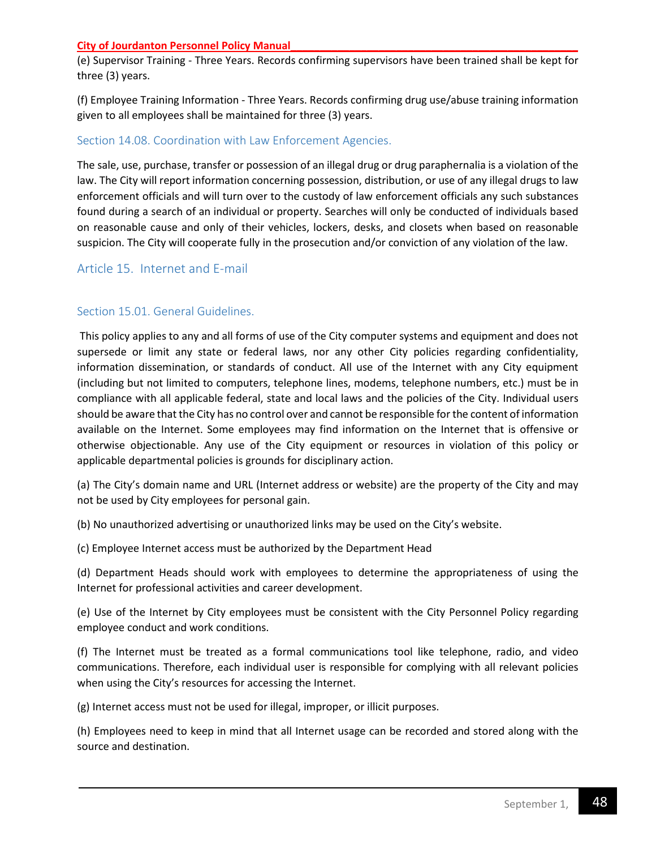(e) Supervisor Training - Three Years. Records confirming supervisors have been trained shall be kept for three (3) years.

(f) Employee Training Information - Three Years. Records confirming drug use/abuse training information given to all employees shall be maintained for three (3) years.

## <span id="page-47-0"></span>Section 14.08. Coordination with Law Enforcement Agencies.

The sale, use, purchase, transfer or possession of an illegal drug or drug paraphernalia is a violation of the law. The City will report information concerning possession, distribution, or use of any illegal drugs to law enforcement officials and will turn over to the custody of law enforcement officials any such substances found during a search of an individual or property. Searches will only be conducted of individuals based on reasonable cause and only of their vehicles, lockers, desks, and closets when based on reasonable suspicion. The City will cooperate fully in the prosecution and/or conviction of any violation of the law.

## <span id="page-47-2"></span><span id="page-47-1"></span>Article 15. Internet and E-mail

## Section 15.01. General Guidelines.

This policy applies to any and all forms of use of the City computer systems and equipment and does not supersede or limit any state or federal laws, nor any other City policies regarding confidentiality, information dissemination, or standards of conduct. All use of the Internet with any City equipment (including but not limited to computers, telephone lines, modems, telephone numbers, etc.) must be in compliance with all applicable federal, state and local laws and the policies of the City. Individual users should be aware that the City has no control over and cannot be responsible for the content of information available on the Internet. Some employees may find information on the Internet that is offensive or otherwise objectionable. Any use of the City equipment or resources in violation of this policy or applicable departmental policies is grounds for disciplinary action.

(a) The City's domain name and URL (Internet address or website) are the property of the City and may not be used by City employees for personal gain.

(b) No unauthorized advertising or unauthorized links may be used on the City's website.

(c) Employee Internet access must be authorized by the Department Head

(d) Department Heads should work with employees to determine the appropriateness of using the Internet for professional activities and career development.

(e) Use of the Internet by City employees must be consistent with the City Personnel Policy regarding employee conduct and work conditions.

(f) The Internet must be treated as a formal communications tool like telephone, radio, and video communications. Therefore, each individual user is responsible for complying with all relevant policies when using the City's resources for accessing the Internet.

(g) Internet access must not be used for illegal, improper, or illicit purposes.

(h) Employees need to keep in mind that all Internet usage can be recorded and stored along with the source and destination.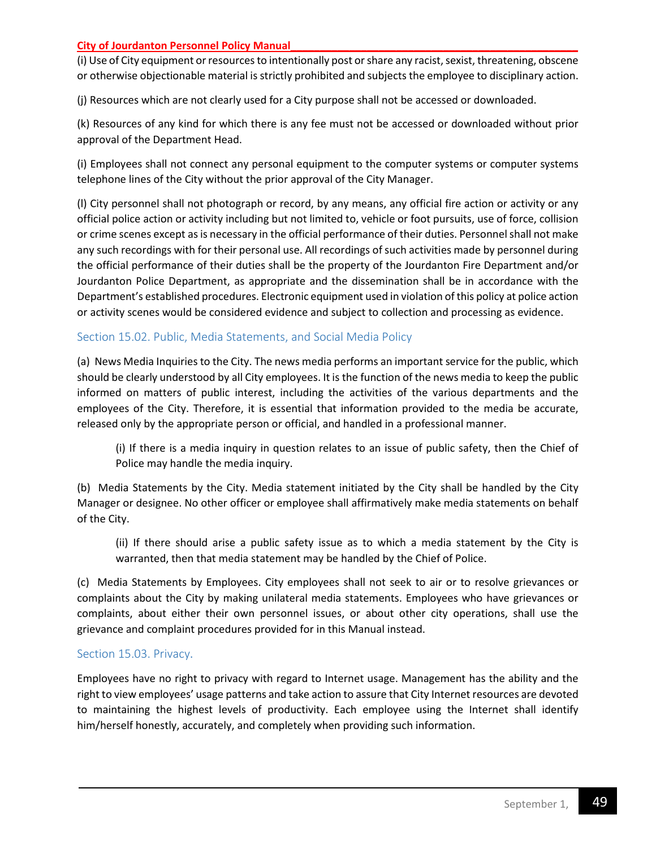(i) Use of City equipment or resources to intentionally post or share any racist, sexist, threatening, obscene or otherwise objectionable material is strictly prohibited and subjects the employee to disciplinary action.

(j) Resources which are not clearly used for a City purpose shall not be accessed or downloaded.

(k) Resources of any kind for which there is any fee must not be accessed or downloaded without prior approval of the Department Head.

(i) Employees shall not connect any personal equipment to the computer systems or computer systems telephone lines of the City without the prior approval of the City Manager.

(l) City personnel shall not photograph or record, by any means, any official fire action or activity or any official police action or activity including but not limited to, vehicle or foot pursuits, use of force, collision or crime scenes except as is necessary in the official performance of their duties. Personnel shall not make any such recordings with for their personal use. All recordings of such activities made by personnel during the official performance of their duties shall be the property of the Jourdanton Fire Department and/or Jourdanton Police Department, as appropriate and the dissemination shall be in accordance with the Department's established procedures. Electronic equipment used in violation of this policy at police action or activity scenes would be considered evidence and subject to collection and processing as evidence.

## Section 15.02. Public, Media Statements, and Social Media Policy

(a) News Media Inquiries to the City. The news media performs an important service for the public, which should be clearly understood by all City employees. It is the function of the news media to keep the public informed on matters of public interest, including the activities of the various departments and the employees of the City. Therefore, it is essential that information provided to the media be accurate, released only by the appropriate person or official, and handled in a professional manner.

(i) If there is a media inquiry in question relates to an issue of public safety, then the Chief of Police may handle the media inquiry.

(b) Media Statements by the City. Media statement initiated by the City shall be handled by the City Manager or designee. No other officer or employee shall affirmatively make media statements on behalf of the City.

(ii) If there should arise a public safety issue as to which a media statement by the City is warranted, then that media statement may be handled by the Chief of Police.

(c) Media Statements by Employees. City employees shall not seek to air or to resolve grievances or complaints about the City by making unilateral media statements. Employees who have grievances or complaints, about either their own personnel issues, or about other city operations, shall use the grievance and complaint procedures provided for in this Manual instead.

## <span id="page-48-0"></span>Section 15.03. Privacy.

<span id="page-48-1"></span>Employees have no right to privacy with regard to Internet usage. Management has the ability and the right to view employees' usage patterns and take action to assure that City Internet resources are devoted to maintaining the highest levels of productivity. Each employee using the Internet shall identify him/herself honestly, accurately, and completely when providing such information.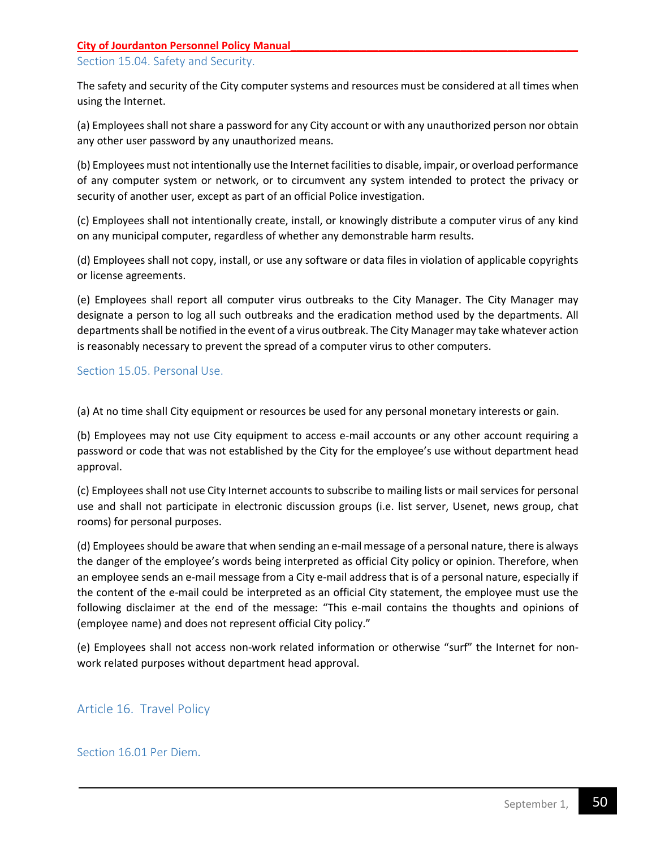## Section 15.04. Safety and Security.

The safety and security of the City computer systems and resources must be considered at all times when using the Internet.

(a) Employees shall not share a password for any City account or with any unauthorized person nor obtain any other user password by any unauthorized means.

(b) Employees must not intentionally use the Internet facilities to disable, impair, or overload performance of any computer system or network, or to circumvent any system intended to protect the privacy or security of another user, except as part of an official Police investigation.

(c) Employees shall not intentionally create, install, or knowingly distribute a computer virus of any kind on any municipal computer, regardless of whether any demonstrable harm results.

(d) Employees shall not copy, install, or use any software or data files in violation of applicable copyrights or license agreements.

(e) Employees shall report all computer virus outbreaks to the City Manager. The City Manager may designate a person to log all such outbreaks and the eradication method used by the departments. All departments shall be notified in the event of a virus outbreak. The City Manager may take whatever action is reasonably necessary to prevent the spread of a computer virus to other computers.

## <span id="page-49-0"></span>Section 15.05. Personal Use.

(a) At no time shall City equipment or resources be used for any personal monetary interests or gain.

(b) Employees may not use City equipment to access e-mail accounts or any other account requiring a password or code that was not established by the City for the employee's use without department head approval.

(c) Employees shall not use City Internet accounts to subscribe to mailing lists or mail services for personal use and shall not participate in electronic discussion groups (i.e. list server, Usenet, news group, chat rooms) for personal purposes.

(d) Employees should be aware that when sending an e-mail message of a personal nature, there is always the danger of the employee's words being interpreted as official City policy or opinion. Therefore, when an employee sends an e-mail message from a City e-mail address that is of a personal nature, especially if the content of the e-mail could be interpreted as an official City statement, the employee must use the following disclaimer at the end of the message: "This e-mail contains the thoughts and opinions of (employee name) and does not represent official City policy."

(e) Employees shall not access non-work related information or otherwise "surf" the Internet for nonwork related purposes without department head approval.

## <span id="page-49-2"></span><span id="page-49-1"></span>Article 16. Travel Policy

## Section 16.01 Per Diem.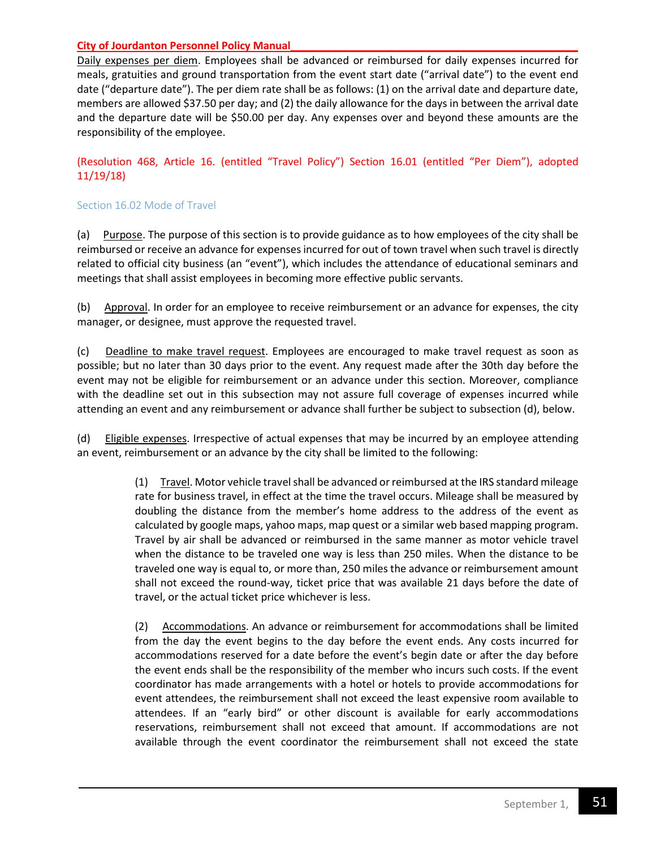Daily expenses per diem. Employees shall be advanced or reimbursed for daily expenses incurred for meals, gratuities and ground transportation from the event start date ("arrival date") to the event end date ("departure date"). The per diem rate shall be as follows: (1) on the arrival date and departure date, members are allowed \$37.50 per day; and (2) the daily allowance for the days in between the arrival date and the departure date will be \$50.00 per day. Any expenses over and beyond these amounts are the responsibility of the employee.

(Resolution 468, Article 16. (entitled "Travel Policy") Section 16.01 (entitled "Per Diem"), adopted 11/19/18)

#### Section 16.02 Mode of Travel

(a) Purpose. The purpose of this section is to provide guidance as to how employees of the city shall be reimbursed or receive an advance for expenses incurred for out of town travel when such travel is directly related to official city business (an "event"), which includes the attendance of educational seminars and meetings that shall assist employees in becoming more effective public servants.

(b) Approval. In order for an employee to receive reimbursement or an advance for expenses, the city manager, or designee, must approve the requested travel.

(c) Deadline to make travel request. Employees are encouraged to make travel request as soon as possible; but no later than 30 days prior to the event. Any request made after the 30th day before the event may not be eligible for reimbursement or an advance under this section. Moreover, compliance with the deadline set out in this subsection may not assure full coverage of expenses incurred while attending an event and any reimbursement or advance shall further be subject to subsection (d), below.

(d) Eligible expenses. Irrespective of actual expenses that may be incurred by an employee attending an event, reimbursement or an advance by the city shall be limited to the following:

> (1) Travel. Motor vehicle travel shall be advanced or reimbursed at the IRS standard mileage rate for business travel, in effect at the time the travel occurs. Mileage shall be measured by doubling the distance from the member's home address to the address of the event as calculated by google maps, yahoo maps, map quest or a similar web based mapping program. Travel by air shall be advanced or reimbursed in the same manner as motor vehicle travel when the distance to be traveled one way is less than 250 miles. When the distance to be traveled one way is equal to, or more than, 250 miles the advance or reimbursement amount shall not exceed the round-way, ticket price that was available 21 days before the date of travel, or the actual ticket price whichever is less.

> (2) Accommodations. An advance or reimbursement for accommodations shall be limited from the day the event begins to the day before the event ends. Any costs incurred for accommodations reserved for a date before the event's begin date or after the day before the event ends shall be the responsibility of the member who incurs such costs. If the event coordinator has made arrangements with a hotel or hotels to provide accommodations for event attendees, the reimbursement shall not exceed the least expensive room available to attendees. If an "early bird" or other discount is available for early accommodations reservations, reimbursement shall not exceed that amount. If accommodations are not available through the event coordinator the reimbursement shall not exceed the state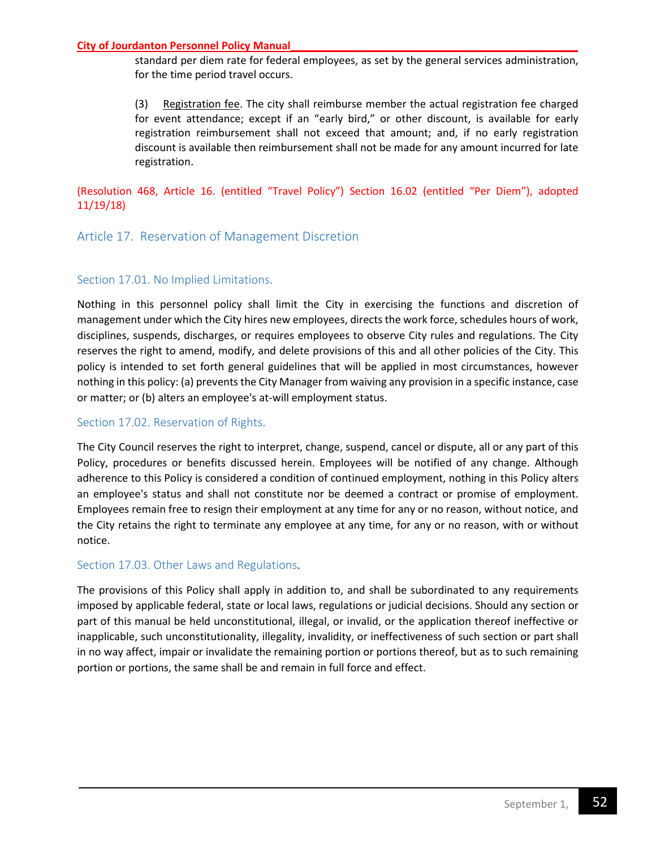standard per diem rate for federal employees, as set by the general services administration, for the time period travel occurs.

(3) Registration fee. The city shall reimburse member the actual registration fee charged for event attendance; except if an "early bird," or other discount, is available for early registration reimbursement shall not exceed that amount; and, if no early registration discount is available then reimbursement shall not be made for any amount incurred for late registration.

## (Resolution 468, Article 16. (entitled "Travel Policy") Section 16.02 (entitled "Per Diem"), adopted 11/19/18)

## <span id="page-51-1"></span><span id="page-51-0"></span>Article 17. Reservation of Management Discretion

## Section 17.01. No Implied Limitations.

Nothing in this personnel policy shall limit the City in exercising the functions and discretion of management under which the City hires new employees, directs the work force, schedules hours of work, disciplines, suspends, discharges, or requires employees to observe City rules and regulations. The City reserves the right to amend, modify, and delete provisions of this and all other policies of the City. This policy is intended to set forth general guidelines that will be applied in most circumstances, however nothing in this policy: (a) prevents the City Manager from waiving any provision in a specific instance, case or matter; or (b) alters an employee's at-will employment status.

## <span id="page-51-2"></span>Section 17.02. Reservation of Rights.

The City Council reserves the right to interpret, change, suspend, cancel or dispute, all or any part of this Policy, procedures or benefits discussed herein. Employees will be notified of any change. Although adherence to this Policy is considered a condition of continued employment, nothing in this Policy alters an employee's status and shall not constitute nor be deemed a contract or promise of employment. Employees remain free to resign their employment at any time for any or no reason, without notice, and the City retains the right to terminate any employee at any time, for any or no reason, with or without notice.

## <span id="page-51-3"></span>Section 17.03. Other Laws and Regulations.

The provisions of this Policy shall apply in addition to, and shall be subordinated to any requirements imposed by applicable federal, state or local laws, regulations or judicial decisions. Should any section or part of this manual be held unconstitutional, illegal, or invalid, or the application thereof ineffective or inapplicable, such unconstitutionality, illegality, invalidity, or ineffectiveness of such section or part shall in no way affect, impair or invalidate the remaining portion or portions thereof, but as to such remaining portion or portions, the same shall be and remain in full force and effect.